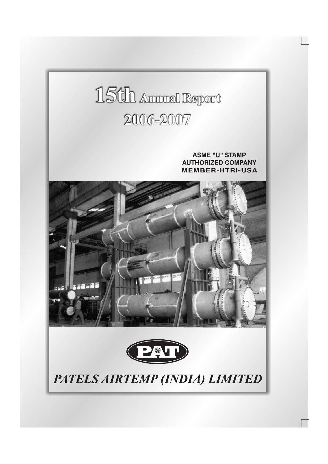# 15th Annual Report 2006-2007

**ASME "U" STAMP AUTHORIZED COMPANY MEMBER-HTRI-USA** 





PATELS AIRTEMP (INDIA) LIMITED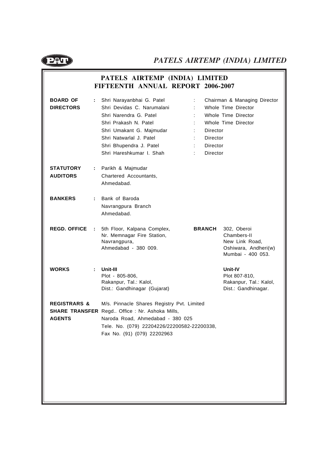

### **PATELS AIRTEMP (INDIA) LIMITED FIFTEENTH ANNUAL REPORT 2006-2007**

| <b>BOARD OF</b><br><b>DIRECTORS</b>      |    | Shri Narayanbhai G. Patel<br>Shri Devidas C. Narumalani<br>Shri Narendra G. Patel<br>Shri Prakash N. Patel<br>Shri Umakant G. Majmudar<br>Shri Natwarlal J. Patel<br>Shri Bhupendra J. Patel<br>Shri Hareshkumar I. Shah | Director<br>Director<br>Director<br>Director | Chairman & Managing Director<br>Whole Time Director<br>Whole Time Director<br>Whole Time Director |
|------------------------------------------|----|--------------------------------------------------------------------------------------------------------------------------------------------------------------------------------------------------------------------------|----------------------------------------------|---------------------------------------------------------------------------------------------------|
| <b>STATUTORY</b><br><b>AUDITORS</b>      | ÷. | Parikh & Majmudar<br>Chartered Accountants,<br>Ahmedabad.                                                                                                                                                                |                                              |                                                                                                   |
| <b>BANKERS</b>                           | ÷. | Bank of Baroda<br>Navrangpura Branch<br>Ahmedabad.                                                                                                                                                                       |                                              |                                                                                                   |
| <b>REGD. OFFICE</b>                      | ÷. | 5th Floor, Kalpana Complex,<br>Nr. Memnagar Fire Station,<br>Navrangpura,<br>Ahmedabad - 380 009.                                                                                                                        | <b>BRANCH</b>                                | 302, Oberoi<br>Chambers-II<br>New Link Road,<br>Oshiwara, Andheri(w)<br>Mumbai - 400 053.         |
| <b>WORKS</b>                             | ÷  | Unit-III<br>Plot - 805-806,<br>Rakanpur, Tal.: Kalol,<br>Dist.: Gandhinagar (Gujarat)                                                                                                                                    |                                              | Unit-IV<br>Plot 807-810,<br>Rakanpur, Tal.: Kalol,<br>Dist.: Gandhinagar.                         |
| <b>REGISTRARS &amp;</b><br><b>AGENTS</b> |    | M/s. Pinnacle Shares Registry Pvt. Limited<br><b>SHARE TRANSFER</b> Regd Office: Nr. Ashoka Mills,<br>Naroda Road, Ahmedabad - 380 025<br>Tele. No. (079) 22204226/22200582-22200338,<br>Fax No. (91) (079) 22202963     |                                              |                                                                                                   |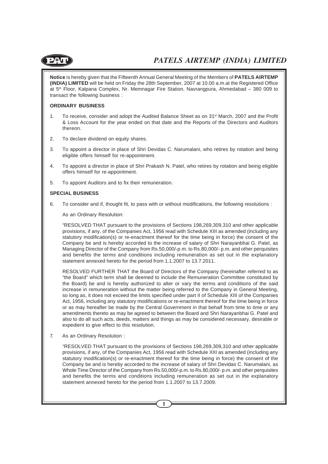

**Notice** is hereby given that the Fifteenth Annual General Meeting of the Members of **PATELS AIRTEMP (INDIA) LIMITED** will be held on Friday the 28th September, 2007 at 10.00 a.m.at the Registered Office at 5th Floor, Kalpana Complex, Nr. Memnagar Fire Station, Navrangpura, Ahmedabad – 380 009 to transact the following business :

#### **ORDINARY BUSINESS**

- 1. To receive, consider and adopt the Audited Balance Sheet as on 31<sup>st</sup> March, 2007 and the Profit & Loss Account for the year ended on that date and the Reports of the Directors and Auditors thereon.
- 2. To declare dividend on equity shares.
- 3. To appoint a director in place of Shri Devidas C. Narumalani, who retires by rotation and being eligible offers himself for re-appointment.
- 4. To appoint a director in place of Shri Prakash N. Patel, who retires by rotation and being eligible offers himself for re-appointment.
- 5. To appoint Auditors and to fix their remuneration.

#### **SPECIAL BUSINESS**

6. To consider and if, thought fit, to pass with or without modifications, the following resolutions :

As an Ordinary Resolution:

"RESOLVED THAT pursuant to the provisions of Sections 198,269,309,310 and other applicable provisions, if any, of the Companies Act, 1956 read with Schedule XIII as amended (including any statutory modification(s) or re-enactment thereof for the time being in force) the consent of the Company be and is hereby accorded to the increase of salary of Shri Narayanbhai G. Patel, as Managing Director of the Company from Rs.50,000/-p.m. to Rs.80,000/- p.m. and other perquisites and benefits the terms and conditions including remuneration as set out in the explanatory statement annexed hereto for the period from 1.1.2007 to 13.7.2011.

RESOLVED FURTHER THAT the Board of Directors of the Company (hereinafter referred to as "the Board" which term shall be deemed to include the Remuneration Committee constituted by the Board) be and is hereby authorized to alter or vary the terms and conditions of the said increase in remuneration without the matter being referred to the Company in General Meeting, so long as, it does not exceed the limits specified under part II of Schedule XIII of the Companies Act, 1956, including any statutory modifications or re-enactment thereof for the time being in force or as may hereafter be made by the Central Government in that behalf from time to time or any amendments thereto as may be agreed to between the Board and Shri Narayanbhai G. Patel and also to do all such acts, deeds, matters and things as may be considered necessary, desirable or expedient to give effect to this resolution.

7. As an Ordinary Resolution :

"RESOLVED THAT pursuant to the provisions of Sections 198,269,309,310 and other applicable provisions, if any, of the Companies Act, 1956 read with Schedule XIII as amended (including any statutory modification(s) or re-enactment thereof for the time being in force) the consent of the Company be and is hereby accorded to the increase of salary of Shri Devidas C. Narumalani, as Whole Time Director of the Company from Rs.50,000/-p.m. to Rs.80,000/- p.m. and other perquisites and benefits the terms and conditions including remuneration as set out in the explanatory statement annexed hereto for the period from 1.1.2007 to 13.7.2009.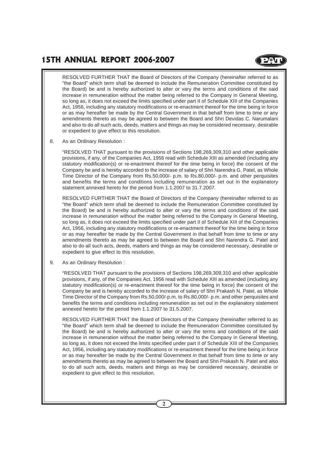### **15TH ANNUAL REPORT 2006-2007**

RESOLVED FURTHER THAT the Board of Directors of the Company (hereinafter referred to as "the Board" which term shall be deemed to include the Remuneration Committee constituted by the Board) be and is hereby authorized to alter or vary the terms and conditions of the said increase in remuneration without the matter being referred to the Company in General Meeting, so long as, it does not exceed the limits specified under part II of Schedule XIII of the Companies Act, 1956, including any statutory modifications or re-enactment thereof for the time being in force or as may hereafter be made by the Central Government in that behalf from time to time or any amendments thereto as may be agreed to between the Board and Shri Devidas C. Narumalani and also to do all such acts, deeds, matters and things as may be considered necessary, desirable or expedient to give effect to this resolution.

8. As an Ordinary Resolution :

"RESOLVED THAT pursuant to the provisions of Sections 198,269,309,310 and other applicable provisions, if any, of the Companies Act, 1956 read with Schedule XIII as amended (including any statutory modification(s) or re-enactment thereof for the time being in force) the consent of the Company be and is hereby accorded to the increase of salary of Shri Narendra G. Patel, as Whole Time Director of the Company from Rs.50,000/- p.m. to Rs.80,000/- p.m. and other perquisites and benefits the terms and conditions including remuneration as set out in the explanatory statement annexed hereto for the period from 1.1.2007 to 31.7.2007.

RESOLVED FURTHER THAT the Board of Directors of the Company (hereinafter referred to as "the Board" which term shall be deemed to include the Remuneration Committee constituted by the Board) be and is hereby authorized to alter or vary the terms and conditions of the said increase in remuneration without the matter being referred to the Company in General Meeting, so long as, it does not exceed the limits specified under part II of Schedule XIII of the Companies Act, 1956, including any statutory modifications or re-enactment thereof for the time being in force or as may hereafter be made by the Central Government in that behalf from time to time or any amendments thereto as may be agreed to between the Board and Shri Narendra G. Patel and also to do all such acts, deeds, matters and things as may be considered necessary, desirable or expedient to give effect to this resolution.

9. As an Ordinary Resolution :

"RESOLVED THAT pursuant to the provisions of Sections 198,269,309,310 and other applicable provisions, if any, of the Companies Act, 1956 read with Schedule XIII as amended (including any statutory modification(s) or re-enactment thereof for the time being in force) the consent of the Company be and is hereby accorded to the increase of salary of Shri Prakash N. Patel, as Whole Time Director of the Company from Rs.50,000/-p.m. to Rs.80,000/- p.m. and other perquisites and benefits the terms and conditions including remuneration as set out in the explanatory statement annexed hereto for the period from 1.1.2007 to 31.5.2007.

RESOLVED FURTHER THAT the Board of Directors of the Company (hereinafter referred to as "the Board" which term shall be deemed to include the Remuneration Committee constituted by the Board) be and is hereby authorized to alter or vary the terms and conditions of the said increase in remuneration without the matter being referred to the Company in General Meeting, so long as, it does not exceed the limits specified under part II of Schedule XIII of the Companies Act, 1956, including any statutory modifications or re-enactment thereof for the time being in force or as may hereafter be made by the Central Government in that behalf from time to time or any amendments thereto as may be agreed to between the Board and Shri Prakash N. Patel and also to do all such acts, deeds, matters and things as may be considered necessary, desirable or expedient to give effect to this resolution.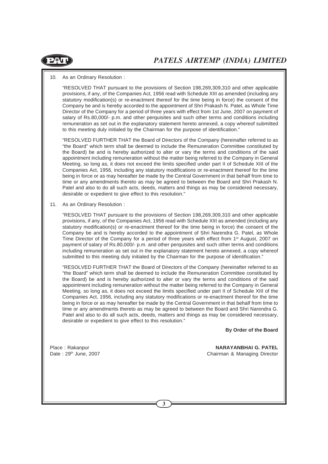

10. As an Ordinary Resolution :

"RESOLVED THAT pursuant to the provisions of Section 198,269,309,310 and other applicable provisions, if any, of the Companies Act, 1956 read with Schedule XIII as amended (including any statutory modification(s) or re-enactment thereof for the time being in force) the consent of the Company be and is hereby accorded to the appointment of Shri Prakash N. Patel, as Whole Time Director of the Company for a period of three years with effect from 1st June, 2007 on payment of salary of Rs.80,000/- p.m. and other perquisites and such other terms and conditions including remuneration as set out in the explanatory statement hereto annexed, a copy whereof submitted to this meeting duly initialed by the Chairman for the purpose of identification."

"RESOLVED FURTHER THAT the Board of Directors of the Company (hereinafter referred to as "the Board" which term shall be deemed to include the Remuneration Committee constituted by the Board) be and is hereby authorized to alter or vary the terms and conditions of the said appointment including remuneration without the matter being referred to the Company in General Meeting, so long as, it does not exceed the limits specified under part II of Schedule XIII of the Companies Act, 1956, including any statutory modifications or re-enactment thereof for the time being in force or as may hereafter be made by the Central Government in that behalf from time to time or any amendments thereto as may be agreed to between the Board and Shri Prakash N. Patel and also to do all such acts, deeds, matters and things as may be considered necessary, desirable or expedient to give effect to this resolution."

11. As an Ordinary Resolution :

"RESOLVED THAT pursuant to the provisions of Section 198,269,309,310 and other applicable provisions, if any, of the Companies Act, 1956 read with Schedule XIII as amended (including any statutory modification(s) or re-enactment thereof for the time being in force) the consent of the Company be and is hereby accorded to the appointment of Shri Narendra G. Patel, as Whole Time Director of the Company for a period of three years with effect from 1<sup>st</sup> August, 2007 on payment of salary of Rs.80,000/- p.m. and other perquisites and such other terms and conditions including remuneration as set out in the explanatory statement hereto annexed, a copy whereof submitted to this meeting duly initialed by the Chairman for the purpose of identification."

"RESOLVED FURTHER THAT the Board of Directors of the Company (hereinafter referred to as "the Board" which term shall be deemed to include the Remuneration Committee constituted by the Board) be and is hereby authorized to alter or vary the terms and conditions of the said appointment including remuneration without the matter being referred to the Company in General Meeting, so long as, it does not exceed the limits specified under part II of Schedule XIII of the Companies Act, 1956, including any statutory modifications or re-enactment thereof for the time being in force or as may hereafter be made by the Central Government in that behalf from time to time or any amendments thereto as may be agreed to between the Board and Shri Narendra G. Patel and also to do all such acts, deeds, matters and things as may be considered necessary, desirable or expedient to give effect to this resolution."

**By Order of the Board**

Place : Rakanpur **NARAYANBHAI G. PATEL** Date : 29<sup>th</sup> June, 2007 **Chairman & Managing Director**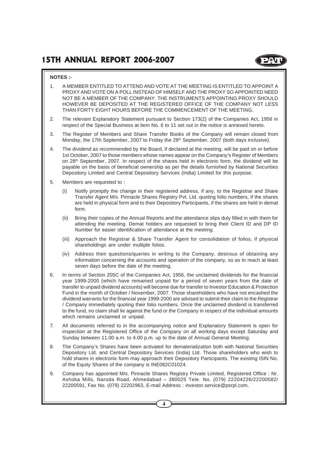#### **NOTES :-**

- 1. A MEMBER ENTITLED TO ATTEND AND VOTE AT THE MEETING IS ENTITLED TO APPOINT A PROXY AND VOTE ON A POLL INSTEAD OF HIMSELF AND THE PROXY SO APPOINTED NEED NOT BE A MEMBER OF THE COMPANY. THE INSTRUMENTS APPOINTING PROXY SHOULD HOWEVER BE DEPOSITED AT THE REGISTERED OFFICE OF THE COMPANY NOT LESS THAN FORTY EIGHT HOURS BEFORE THE COMMENCEMENT OF THE MEETING.
- 2. The relevant Explanatory Statement pursuant to Section 173(2) of the Companies Act, 1956 in respect of the Special Business at item No. 6 to 11 set out in the notice is annexed hereto.
- 3. The Register of Members and Share Transfer Books of the Company will remain closed from Monday, the 17th September, 2007 to Friday the 28<sup>th</sup> September, 2007 (both days inclusive).
- 4. The dividend as recommended by the Board, if declared at the meeting, will be paid on or before 1st October, 2007 to those members whose names appear on the Company's Register of Members on  $28<sup>th</sup>$  September, 2007. In respect of the shares held in electronic form, the dividend will be payable on the basis of beneficial ownership as per the details furnished by National Securities Depository Limited and Central Depository Services (India) Limited for this purpose.
- 5. Members are requested to :
	- (i) Notify promptly the change in their registered address, if any, to the Registrar and Share Transfer Agent M/s. Pinnacle Shares Registry Pvt. Ltd. quoting folio numbers, if the shares are held in physical form and to their Depository Participants, if the shares are held in demat form.
	- (ii) Bring their copies of the Annual Reports and the attendance slips duly filled in with them for attending the meeting. Demat holders are requested to bring their Client ID and DP ID Number for easier identification of attendance at the meeting.
	- (iii) Approach the Registrar & Share Transfer Agent for consolidation of folios, if physical shareholdings are under multiple folios.
	- (iv) Address their questions/queries in writing to the Company, desirous of obtaining any information concerning the accounts and operation of the company, so as to reach at least seven days before the date of the meeting.
- 6. In terms of Section 205C of the Companies Act, 1956, the unclaimed dividends for the financial year 1999-2000 (which have remained unpaid for a period of seven years from the date of transfer to unpaid dividend accounts) will become due for transfer to Investor Education & Protection Fund in the month of October / November, 2007. Those shareholders who have not encashed the dividend warrants for the financial year 1999-2000 are advised to submit their claim to the Registrar / Company immediately quoting their folio numbers. Once the unclaimed dividend is transferred to the fund, no claim shall lie against the fund or the Company in respect of the individual amounts which remains unclaimed or unpaid.
- 7. All documents referred to in the accompanying notice and Explanatory Statement is open for inspection at the Registered Office of the Company on all working days except Saturday and Sunday between 11.00 a.m. to 4.00 p.m. up to the date of Annual General Meeting.
- 8. The Company's Shares have been activated for dematerialization both with National Securities Depository Ltd. and Central Depository Services (India) Ltd. Those shareholders who wish to hold shares in electronic form may approach their Depository Participants. The existing ISIN No. of the Equity Shares of the company is INE082C01024.
- 9. Company has appointed M/s. Pinnacle Shares Registry Private Limited, Registered Office : Nr. Ashoka Mills, Naroda Road, Ahmedabad – 380025 Tele. No. (079) 22204226/22200582/ 22200591, Fax No. (079) 22202963, E-mail Address : investor.service@psrpl.com.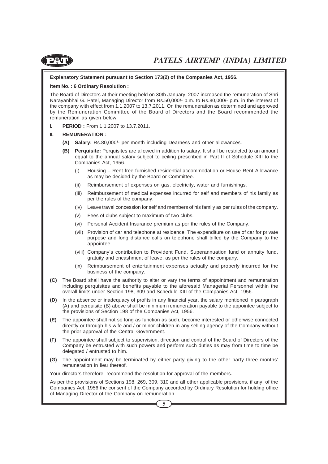

#### **Explanatory Statement pursuant to Section 173(2) of the Companies Act, 1956.**

#### **Item No. : 6 Ordinary Resolution :**

The Board of Directors at their meeting held on 30th January, 2007 increased the remuneration of Shri Narayanbhai G. Patel, Managing Director from Rs.50,000/- p.m. to Rs.80,000/- p.m. in the interest of the company with effect from 1.1.2007 to 13.7.2011. On the remuneration as determined and approved by the Remuneration Committee of the Board of Directors and the Board recommended the remuneration as given below:

**I. PERIOD :** From 1.1.2007 to 13.7.2011.

#### **II. REMUNERATION :**

- **(A) Salary:** Rs.80,000/- per month including Dearness and other allowances.
- **(B) Perquisite:** Perquisites are allowed in addition to salary. It shall be restricted to an amount equal to the annual salary subject to ceiling prescribed in Part II of Schedule XIII to the Companies Act, 1956.
	- (i) Housing Rent free furnished residential accommodation or House Rent Allowance as may be decided by the Board or Committee.
	- (ii) Reimbursement of expenses on gas, electricity, water and furnishings.
	- (iii) Reimbursement of medical expenses incurred for self and members of his family as per the rules of the company.
	- (iv) Leave travel concession for self and members of his family as per rules of the company.
	- (v) Fees of clubs subject to maximum of two clubs.
	- (vi) Personal Accident Insurance premium as per the rules of the Company.
	- (vii) Provision of car and telephone at residence. The expenditure on use of car for private purpose and long distance calls on telephone shall billed by the Company to the appointee.
	- (viii) Company's contribution to Provident Fund, Superannuation fund or annuity fund, gratuity and encashment of leave, as per the rules of the company.
	- (ix) Reimbursement of entertainment expenses actually and properly incurred for the business of the company.
- **(C)** The Board shall have the authority to alter or vary the terms of appointment and remuneration including perquisites and benefits payable to the aforesaid Managerial Personnel within the overall limits under Section 198, 309 and Schedule XIII of the Companies Act, 1956.
- **(D)** In the absence or inadequacy of profits in any financial year, the salary mentioned in paragraph (A) and perquisite (B) above shall be minimum remuneration payable to the appointee subject to the provisions of Section 198 of the Companies Act, 1956.
- **(E)** The appointee shall not so long as function as such, become interested or otherwise connected directly or through his wife and / or minor children in any selling agency of the Company without the prior approval of the Central Government.
- **(F)** The appointee shall subject to supervision, direction and control of the Board of Directors of the Company be entrusted with such powers and perform such duties as may from time to time be delegated / entrusted to him.
- **(G)** The appointment may be terminated by either party giving to the other party three months' remuneration in lieu thereof.

Your directors therefore, recommend the resolution for approval of the members.

As per the provisions of Sections 198, 269, 309, 310 and all other applicable provisions, if any, of the Companies Act, 1956 the consent of the Company accorded by Ordinary Resolution for holding office of Managing Director of the Company on remuneration.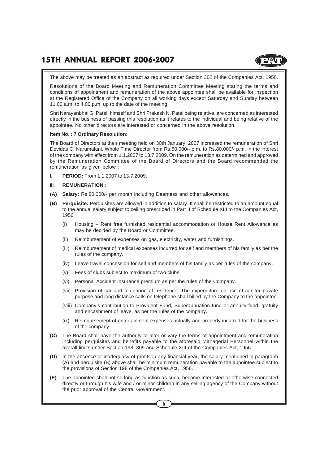The above may be treated as an abstract as required under Section 302 of the Companies Act, 1956.

Resolutions of the Board Meeting and Remuneration Committee Meeting stating the terms and conditions of appointment and remuneration of the above appointee shall be available for inspection at the Registered Office of the Company on all working days except Saturday and Sunday between 11.00 a.m. to 4.00 p.m. up to the date of the meeting.

Shri Narayanbhai G. Patel, himself and Shri Prakash N. Patel being relative, are concerned as interested directly in the business of passing this resolution as it relates to the individual and being relative of the appointee. No other directors are interested or concerned in the above resolution.

#### **Item No. : 7 Ordinary Resolution:**

The Board of Directors at their meeting held on 30th January, 2007 increased the remuneration of Shri Devidas C. Narumalani, Whole Time Director from Rs.50,000/- p.m. to Rs.80,000/- p.m. in the interest of the company with effect from 1.1.2007 to 13.7.2009. On the remuneration as determined and approved by the Remuneration Committee of the Board of Directors and the Board recommended the remuneration as given below :

**I. PERIOD:** From 1.1.2007 to 13.7.2009.

#### **III. REMUNERATION :**

- **(A) Salary:** Rs.80,000/- per month including Dearness and other allowances.
- **(B) Perquisite:** Perquisites are allowed in addition to salary. It shall be restricted to an amount equal to the annual salary subject to ceiling prescribed in Part II of Schedule XIII to the Companies Act, 1956.
	- (i) Housing Rent free furnished residential accommodation or House Rent Allowance as may be decided by the Board or Committee.
	- (ii) Reimbursement of expenses on gas, electricity, water and furnishings.
	- (iii) Reimbursement of medical expenses incurred for self and members of his family as per the rules of the company.
	- (iv) Leave travel concession for self and members of his family as per rules of the company.
	- (v) Fees of clubs subject to maximum of two clubs.
	- (vi) Personal Accident Insurance premium as per the rules of the Company.
	- (vii) Provision of car and telephone at residence. The expenditure on use of car for private purpose and long distance calls on telephone shall billed by the Company to the appointee.
	- (viii) Company's contribution to Provident Fund, Superannuation fund or annuity fund, gratuity and encashment of leave, as per the rules of the company.
	- (ix) Reimbursement of entertainment expenses actually and properly incurred for the business of the company.
- **(C)** The Board shall have the authority to alter or vary the terms of appointment and remuneration including perquisites and benefits payable to the aforesaid Managerial Personnel within the overall limits under Section 198, 309 and Schedule XIII of the Companies Act, 1956.
- **(D)** In the absence or inadequacy of profits in any financial year, the salary mentioned in paragraph (A) and perquisite (B) above shall be minimum remuneration payable to the appointee subject to the provisions of Section 198 of the Companies Act, 1956.
- **(E)** The appointee shall not so long as function as such, become interested or otherwise connected directly or through his wife and / or minor children in any selling agency of the Company without the prior approval of the Central Government.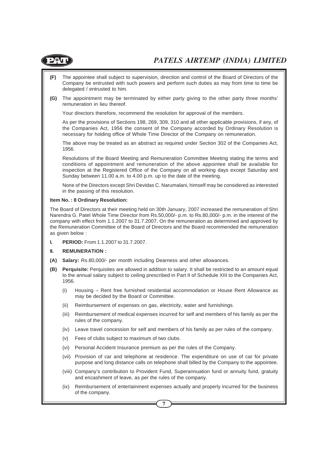

- **(F)** The appointee shall subject to supervision, direction and control of the Board of Directors of the Company be entrusted with such powers and perform such duties as may from time to time be delegated / entrusted to him.
- **(G)** The appointment may be terminated by either party giving to the other party three months' remuneration in lieu thereof.

Your directors therefore, recommend the resolution for approval of the members.

As per the provisions of Sections 198, 269, 309, 310 and all other applicable provisions, if any, of the Companies Act, 1956 the consent of the Company accorded by Ordinary Resolution is necessary for holding office of Whole Time Director of the Company on remuneration.

The above may be treated as an abstract as required under Section 302 of the Companies Act, 1956.

Resolutions of the Board Meeting and Remuneration Committee Meeting stating the terms and conditions of appointment and remuneration of the above appointee shall be available for inspection at the Registered Office of the Company on all working days except Saturday and Sunday between 11.00 a.m. to 4.00 p.m. up to the date of the meeting.

None of the Directors except Shri Devidas C. Narumalani, himself may be considered as interested in the passing of this resolution.

#### **Item No. : 8 Ordinary Resolution:**

The Board of Directors at their meeting held on 30th January, 2007 increased the remuneration of Shri Narendra G. Patel Whole Time Director from Rs.50,000/- p.m. to Rs.80,000/- p.m. in the interest of the company with effect from 1.1.2007 to 31.7.2007. On the remuneration as determined and approved by the Remuneration Committee of the Board of Directors and the Board recommended the remuneration as given below :

**I. PERIOD:** From 1.1.2007 to 31.7.2007.

#### **II. REMUNERATION :**

- **(A) Salary:** Rs.80,000/- per month including Dearness and other allowances.
- **(B) Perquisite:** Perquisites are allowed in addition to salary. It shall be restricted to an amount equal to the annual salary subject to ceiling prescribed in Part II of Schedule XIII to the Companies Act, 1956.
	- (i) Housing Rent free furnished residential accommodation or House Rent Allowance as may be decided by the Board or Committee.
	- (ii) Reimbursement of expenses on gas, electricity, water and furnishings.
	- (iii) Reimbursement of medical expenses incurred for self and members of his family as per the rules of the company.
	- (iv) Leave travel concession for self and members of his family as per rules of the company.
	- (v) Fees of clubs subject to maximum of two clubs.
	- (vi) Personal Accident Insurance premium as per the rules of the Company.
	- (vii) Provision of car and telephone at residence. The expenditure on use of car for private purpose and long distance calls on telephone shall billed by the Company to the appointee.
	- (viii) Company's contribution to Provident Fund, Superannuation fund or annuity fund, gratuity and encashment of leave, as per the rules of the company.
	- (ix) Reimbursement of entertainment expenses actually and properly incurred for the business of the company.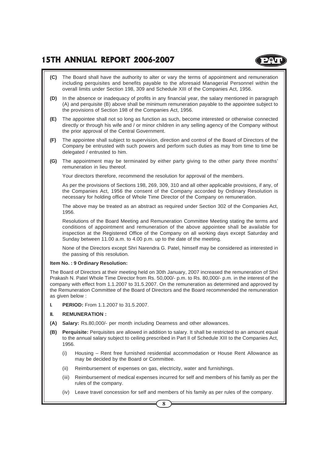### **15TH ANNUAL REPORT 2006-2007**

- **(C)** The Board shall have the authority to alter or vary the terms of appointment and remuneration including perquisites and benefits payable to the aforesaid Managerial Personnel within the overall limits under Section 198, 309 and Schedule XIII of the Companies Act, 1956.
- **(D)** In the absence or inadequacy of profits in any financial year, the salary mentioned in paragraph (A) and perquisite (B) above shall be minimum remuneration payable to the appointee subject to the provisions of Section 198 of the Companies Act, 1956.
- **(E)** The appointee shall not so long as function as such, become interested or otherwise connected directly or through his wife and / or minor children in any selling agency of the Company without the prior approval of the Central Government.
- **(F)** The appointee shall subject to supervision, direction and control of the Board of Directors of the Company be entrusted with such powers and perform such duties as may from time to time be delegated / entrusted to him.
- **(G)** The appointment may be terminated by either party giving to the other party three months' remuneration in lieu thereof.

Your directors therefore, recommend the resolution for approval of the members.

As per the provisions of Sections 198, 269, 309, 310 and all other applicable provisions, if any, of the Companies Act, 1956 the consent of the Company accorded by Ordinary Resolution is necessary for holding office of Whole Time Director of the Company on remuneration.

The above may be treated as an abstract as required under Section 302 of the Companies Act, 1956.

Resolutions of the Board Meeting and Remuneration Committee Meeting stating the terms and conditions of appointment and remuneration of the above appointee shall be available for inspection at the Registered Office of the Company on all working days except Saturday and Sunday between 11.00 a.m. to 4.00 p.m. up to the date of the meeting.

None of the Directors except Shri Narendra G. Patel, himself may be considered as interested in the passing of this resolution.

#### **Item No. : 9 Ordinary Resolution:**

The Board of Directors at their meeting held on 30th January, 2007 increased the remuneration of Shri Prakash N. Patel Whole Time Director from Rs. 50,000/- p.m. to Rs. 80,000/- p.m. in the interest of the company with effect from 1.1.2007 to 31.5.2007. On the remuneration as determined and approved by the Remuneration Committee of the Board of Directors and the Board recommended the remuneration as given below :

**I. PERIOD:** From 1.1.2007 to 31.5.2007.

#### **II. REMUNERATION :**

- **(A) Salary:** Rs.80,000/- per month including Dearness and other allowances.
- **(B) Perquisite:** Perquisites are allowed in addition to salary. It shall be restricted to an amount equal to the annual salary subject to ceiling prescribed in Part II of Schedule XIII to the Companies Act, 1956.
	- (i) Housing Rent free furnished residential accommodation or House Rent Allowance as may be decided by the Board or Committee.
	- (ii) Reimbursement of expenses on gas, electricity, water and furnishings.
	- (iii) Reimbursement of medical expenses incurred for self and members of his family as per the rules of the company.
	- (iv) Leave travel concession for self and members of his family as per rules of the company.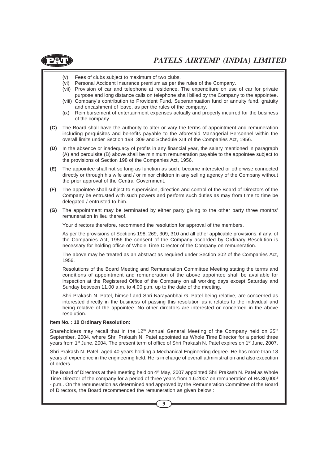

- (v) Fees of clubs subject to maximum of two clubs.
- (vi) Personal Accident Insurance premium as per the rules of the Company.
- (vii) Provision of car and telephone at residence. The expenditure on use of car for private purpose and long distance calls on telephone shall billed by the Company to the appointee.
- (viii) Company's contribution to Provident Fund, Superannuation fund or annuity fund, gratuity and encashment of leave, as per the rules of the company.
- (ix) Reimbursement of entertainment expenses actually and properly incurred for the business of the company.
- **(C)** The Board shall have the authority to alter or vary the terms of appointment and remuneration including perquisites and benefits payable to the aforesaid Managerial Personnel within the overall limits under Section 198, 309 and Schedule XIII of the Companies Act, 1956.
- **(D)** In the absence or inadequacy of profits in any financial year, the salary mentioned in paragraph (A) and perquisite (B) above shall be minimum remuneration payable to the appointee subject to the provisions of Section 198 of the Companies Act, 1956.
- **(E)** The appointee shall not so long as function as such, become interested or otherwise connected directly or through his wife and / or minor children in any selling agency of the Company without the prior approval of the Central Government.
- **(F)** The appointee shall subject to supervision, direction and control of the Board of Directors of the Company be entrusted with such powers and perform such duties as may from time to time be delegated / entrusted to him.
- **(G)** The appointment may be terminated by either party giving to the other party three months' remuneration in lieu thereof.

Your directors therefore, recommend the resolution for approval of the members.

As per the provisions of Sections 198, 269, 309, 310 and all other applicable provisions, if any, of the Companies Act, 1956 the consent of the Company accorded by Ordinary Resolution is necessary for holding office of Whole Time Director of the Company on remuneration.

The above may be treated as an abstract as required under Section 302 of the Companies Act, 1956.

Resolutions of the Board Meeting and Remuneration Committee Meeting stating the terms and conditions of appointment and remuneration of the above appointee shall be available for inspection at the Registered Office of the Company on all working days except Saturday and Sunday between 11.00 a.m. to 4.00 p.m. up to the date of the meeting.

Shri Prakash N. Patel, himself and Shri Narayanbhai G. Patel being relative, are concerned as interested directly in the business of passing this resolution as it relates to the individual and being relative of the appointee. No other directors are interested or concerned in the above resolution.

#### **Item No. : 10 Ordinary Resolution:**

Shareholders may recall that in the  $12<sup>th</sup>$  Annual General Meeting of the Company held on  $25<sup>th</sup>$ September, 2004, where Shri Prakash N. Patel appointed as Whole Time Director for a period three years from 1<sup>st</sup> June, 2004. The present term of office of Shri Prakash N. Patel expires on 1<sup>st</sup> June, 2007.

Shri Prakash N. Patel, aged 40 years holding a Mechanical Engineering degree. He has more than 18 years of experience in the engineering field. He is in charge of overall administration and also execution of orders.

The Board of Directors at their meeting held on 4<sup>th</sup> May, 2007 appointed Shri Prakash N. Patel as Whole Time Director of the company for a period of three years from 1.6.2007 on remuneration of Rs.80,000/ - p.m.. On the remuneration as determined and approved by the Remuneration Committee of the Board of Directors, the Board recommended the remuneration as given below :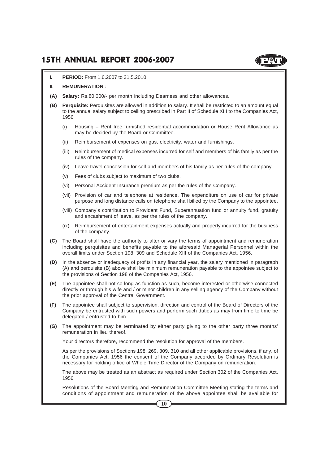### **15TH ANNUAL REPORT 2006-2007**

**I. PERIOD:** From 1.6.2007 to 31.5.2010.

#### **II. REMUNERATION :**

- **(A) Salary:** Rs.80,000/- per month including Dearness and other allowances.
- **(B) Perquisite:** Perquisites are allowed in addition to salary. It shall be restricted to an amount equal to the annual salary subject to ceiling prescribed in Part II of Schedule XIII to the Companies Act, 1956.
	- (i) Housing Rent free furnished residential accommodation or House Rent Allowance as may be decided by the Board or Committee.
	- (ii) Reimbursement of expenses on gas, electricity, water and furnishings.
	- (iii) Reimbursement of medical expenses incurred for self and members of his family as per the rules of the company.
	- (iv) Leave travel concession for self and members of his family as per rules of the company.
	- (v) Fees of clubs subject to maximum of two clubs.
	- (vi) Personal Accident Insurance premium as per the rules of the Company.
	- (vii) Provision of car and telephone at residence. The expenditure on use of car for private purpose and long distance calls on telephone shall billed by the Company to the appointee.
	- (viii) Company's contribution to Provident Fund, Superannuation fund or annuity fund, gratuity and encashment of leave, as per the rules of the company.
	- (ix) Reimbursement of entertainment expenses actually and properly incurred for the business of the company.
- **(C)** The Board shall have the authority to alter or vary the terms of appointment and remuneration including perquisites and benefits payable to the aforesaid Managerial Personnel within the overall limits under Section 198, 309 and Schedule XIII of the Companies Act, 1956.
- **(D)** In the absence or inadequacy of profits in any financial year, the salary mentioned in paragraph (A) and perquisite (B) above shall be minimum remuneration payable to the appointee subject to the provisions of Section 198 of the Companies Act, 1956.
- **(E)** The appointee shall not so long as function as such, become interested or otherwise connected directly or through his wife and / or minor children in any selling agency of the Company without the prior approval of the Central Government.
- **(F)** The appointee shall subject to supervision, direction and control of the Board of Directors of the Company be entrusted with such powers and perform such duties as may from time to time be delegated / entrusted to him.
- **(G)** The appointment may be terminated by either party giving to the other party three months' remuneration in lieu thereof.

Your directors therefore, recommend the resolution for approval of the members.

As per the provisions of Sections 198, 269, 309, 310 and all other applicable provisions, if any, of the Companies Act, 1956 the consent of the Company accorded by Ordinary Resolution is necessary for holding office of Whole Time Director of the Company on remuneration.

The above may be treated as an abstract as required under Section 302 of the Companies Act, 1956.

Resolutions of the Board Meeting and Remuneration Committee Meeting stating the terms and conditions of appointment and remuneration of the above appointee shall be available for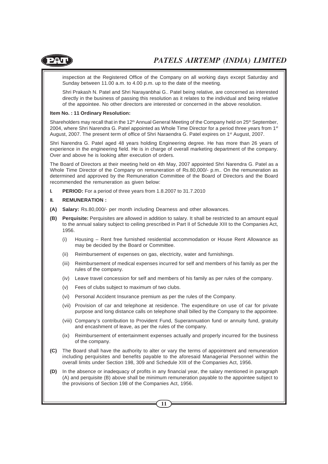

inspection at the Registered Office of the Company on all working days except Saturday and Sunday between 11.00 a.m. to 4.00 p.m. up to the date of the meeting.

Shri Prakash N. Patel and Shri Narayanbhai G.. Patel being relative, are concerned as interested directly in the business of passing this resolution as it relates to the individual and being relative of the appointee. No other directors are interested or concerned in the above resolution.

#### **Item No. : 11 Ordinary Resolution:**

Shareholders may recall that in the 12<sup>th</sup> Annual General Meeting of the Company held on  $25<sup>th</sup>$  September, 2004, where Shri Narendra G. Patel appointed as Whole Time Director for a period three years from  $1<sup>st</sup>$ August, 2007. The present term of office of Shri Naraendra G. Patel expires on 1<sup>st</sup> August, 2007.

Shri Narendra G. Patel aged 48 years holding Engineering degree. He has more than 26 years of experience in the engineering field. He is in charge of overall marketing department of the company. Over and above he is looking after execution of orders.

The Board of Directors at their meeting held on 4th May, 2007 appointed Shri Narendra G. Patel as a Whole Time Director of the Company on remuneration of Rs.80,000/- p.m.. On the remuneration as determined and approved by the Remuneration Committee of the Board of Directors and the Board recommended the remuneration as given below:

**I. PERIOD:** For a period of three years from 1.8.2007 to 31.7.2010

#### **II. REMUNERATION :**

- **(A) Salary:** Rs.80,000/- per month including Dearness and other allowances.
- **(B) Perquisite:** Perquisites are allowed in addition to salary. It shall be restricted to an amount equal to the annual salary subject to ceiling prescribed in Part II of Schedule XIII to the Companies Act, 1956.
	- (i) Housing Rent free furnished residential accommodation or House Rent Allowance as may be decided by the Board or Committee.
	- (ii) Reimbursement of expenses on gas, electricity, water and furnishings.
	- (iii) Reimbursement of medical expenses incurred for self and members of his family as per the rules of the company.
	- (iv) Leave travel concession for self and members of his family as per rules of the company.
	- (v) Fees of clubs subject to maximum of two clubs.
	- (vi) Personal Accident Insurance premium as per the rules of the Company.
	- (vii) Provision of car and telephone at residence. The expenditure on use of car for private purpose and long distance calls on telephone shall billed by the Company to the appointee.
	- (viii) Company's contribution to Provident Fund, Superannuation fund or annuity fund, gratuity and encashment of leave, as per the rules of the company.
	- (ix) Reimbursement of entertainment expenses actually and properly incurred for the business of the company.
- **(C)** The Board shall have the authority to alter or vary the terms of appointment and remuneration including perquisites and benefits payable to the aforesaid Managerial Personnel within the overall limits under Section 198, 309 and Schedule XIII of the Companies Act, 1956.
- **(D)** In the absence or inadequacy of profits in any financial year, the salary mentioned in paragraph (A) and perquisite (B) above shall be minimum remuneration payable to the appointee subject to the provisions of Section 198 of the Companies Act, 1956.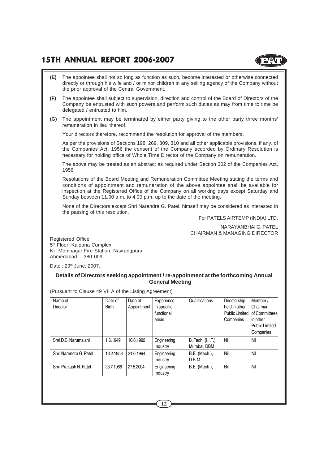### **15TH ANNUAL REPORT 2006-2007**

**(E)** The appointee shall not so long as function as such, become interested or otherwise connected directly or through his wife and / or minor children in any selling agency of the Company without the prior approval of the Central Government. **(F)** The appointee shall subject to supervision, direction and control of the Board of Directors of the Company be entrusted with such powers and perform such duties as may from time to time be delegated / entrusted to him. **(G)** The appointment may be terminated by either party giving to the other party three months' remuneration in lieu thereof. Your directors therefore, recommend the resolution for approval of the members. As per the provisions of Sections 198, 269, 309, 310 and all other applicable provisions, if any, of the Companies Act, 1956 the consent of the Company accorded by Ordinary Resolution is necessary for holding office of Whole Time Director of the Company on remuneration. The above may be treated as an abstract as required under Section 302 of the Companies Act, 1956. Resolutions of the Board Meeting and Remuneration Committee Meeting stating the terms and conditions of appointment and remuneration of the above appointee shall be available for inspection at the Registered Office of the Company on all working days except Saturday and Sunday between 11.00 a.m. to 4.00 p.m. up to the date of the meeting. None of the Directors except Shri Narendra G. Patel, himself may be considered as interested in the passing of this resolution. For PATELS AIRTEMP (INDIA) LTD. NARAYANBHAI G. PATEL

CHAIRMAN & MANAGING DIRECTOR

Registered Office: 5<sup>th</sup> Floor, Kalpana Complex, Nr. Memnagar Fire Station, Navrangpura, Ahmedabad – 380 009

Date: 29<sup>th</sup> June, 2007.

#### **Details of Directors seeking appointment / re-appoinment at the forthcoming Annual General Meeting**

(Pursuant to Clause 49 VII A of the Listing Agreement)

| Name of<br><b>Director</b> | Date of<br><b>Birth</b> | Date of<br>Appointment | Experience<br>in specific<br>functional<br>areas | Qualifications                   | Directorship<br>held in other<br>Public Limited  <br>Companies | Member/<br>Chairman<br>of Committees<br>in other<br><b>Public Limited</b><br>Companies |
|----------------------------|-------------------------|------------------------|--------------------------------------------------|----------------------------------|----------------------------------------------------------------|----------------------------------------------------------------------------------------|
| Shri D.C. Narumalani       | 1.6.1949                | 10.6.1992              | Engineering<br>Industry                          | B. Tech. (I.I.T.)<br>Mumbai, DBM | Nil                                                            | Nil                                                                                    |
| Shri Narendra G. Patel     | 13.2.1958               | 21.6.1994              | Engineering<br>Industry                          | B.E. (Mech.),<br>D.B.M.          | Nil                                                            | Nil                                                                                    |
| Shri Prakash N. Patel      | 23.7.1966               | 27.5.2004              | Engineering<br>Industry                          | B.E. (Mech.),                    | Nil                                                            | Nil                                                                                    |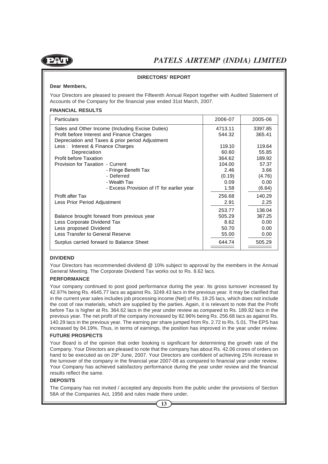

#### **DIRECTORS' REPORT**

#### **Dear Members,**

Your Directors are pleased to present the Fifteenth Annual Report together with Audited Statement of Accounts of the Company for the financial year ended 31st March, 2007.

#### **FINANCIAL RESULTS**

| <b>Particulars</b>                               | 2006-07 | 2005-06 |
|--------------------------------------------------|---------|---------|
| Sales and Other Income (Including Excise Duties) | 4713.11 | 3397.85 |
| Profit before Interest and Finance Charges       | 544.32  | 365.41  |
| Depreciation and Taxes & prior period Adjustment |         |         |
| Less: Interest & Finance Charges                 | 119.10  | 119.64  |
| Depreciation                                     | 60.60   | 55.85   |
| <b>Profit before Taxation</b>                    | 364.62  | 189.92  |
| Provision for Taxation - Current                 | 104.00  | 57.37   |
| - Fringe Benefit Tax                             | 2.46    | 3.66    |
| - Deferred                                       | (0.19)  | (4.76)  |
| - Wealth Tax                                     | 0.09    | 0.00    |
| - Excess Provision of IT for earlier year        | 1.58    | (6.64)  |
| Profit after Tax                                 | 256.68  | 140.29  |
| Less Prior Period Adjustment                     | 2.91    | 2.25    |
|                                                  | 253.77  | 138.04  |
| Balance brought forward from previous year       | 505.29  | 367.25  |
| Less Corporate Dividend Tax                      | 8.62    | 0.00    |
| Less proposed Dividend                           | 50.70   | 0.00    |
| Less Transfer to General Reserve                 | 55.00   | 0.00    |
| Surplus carried forward to Balance Sheet         | 644.74  | 505.29  |
|                                                  |         |         |

#### **DIVIDEND**

Your Directors has recommended dividend @ 10% subject to approval by the members in the Annual General Meeting. The Corporate Dividend Tax works out to Rs. 8.62 lacs.

#### **PERFORMANCE**

Your company continued to post good performance during the year. Its gross turnover increased by 42.97% being Rs. 4645.77 lacs as against Rs. 3249.43 lacs in the previous year. It may be clarified that in the current year sales includes job processing income (Net) of Rs. 19.25 lacs, which does not include the cost of raw materials, which are supplied by the parties. Again, it is relevant to note that the Profit before Tax is higher at Rs. 364.62 lacs in the year under review as compared to Rs. 189.92 lacs in the previous year. The net profit of the company increased by 82.96% being Rs. 256.68 lacs as against Rs. 140.29 lacs in the previous year. The earning per share jumped from Rs. 2.72 to Rs. 5.01. The EPS has increased by 84.19%. Thus, in terms of earnings, the position has improved in the year under review.

#### **FUTURE PROSPECTS**

Your Board is of the opinion that order booking is significant for determining the growth rate of the Company. Your Directors are pleased to note that the company has about Rs. 42.06 crores of orders on hand to be executed as on 29<sup>th</sup> June, 2007. Your Directors are confident of achieving 25% increase in the turnover of the company in the financial year 2007-08 as compared to financial year under review. Your Company has achieved satisfactory performance during the year under review and the financial results reflect the same.

#### **DEPOSITS**

The Company has not invited / accepted any deposits from the public under the provisions of Section 58A of the Companies Act, 1956 and rules made there under.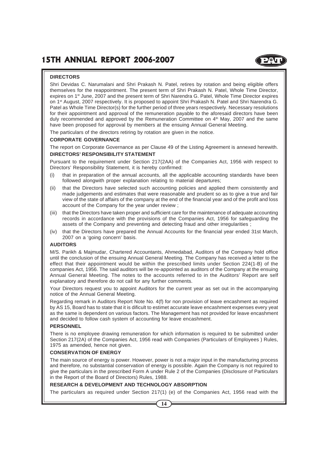#### **DIRECTORS**

Shri Devidas C. Narumalani and Shri Prakash N. Patel, retires by rotation and being eligible offers themselves for the reappointment. The present term of Shri Prakash N. Patel, Whole Time Director, expires on 1<sup>st</sup> June, 2007 and the present term of Shri Narendra G. Patel, Whole Time Director expires on 1<sup>st</sup> August, 2007 respectively. It is proposed to appoint Shri Prakash N. Patel and Shri Narendra G. Patel as Whole Time Director(s) for the further period of three years respectively. Necessary resolutions for their appointment and approval of the remuneration payable to the aforesaid directors have been duly recommended and approved by the Remuneration Committee on  $4<sup>th</sup>$  May, 2007 and the same have been proposed for approval by members at the ensuing Annual General Meeting.

The particulars of the directors retiring by rotation are given in the notice.

#### **CORPORATE GOVERNANCE**

The report on Corporate Governance as per Clause 49 of the Listing Agreement is annexed herewith.

#### **DIRECTORS' RESPONSIBILITY STATEMENT**

Pursuant to the requirement under Section 217(2AA) of the Companies Act, 1956 with respect to Directors' Responsibility Statement, it is hereby confirmed:

- (i) that in preparation of the annual accounts, all the applicable accounting standards have been followed alongwith proper explanation relating to material departures;
- (ii) that the Directors have selected such accounting policies and applied them consistently and made judgements and estimates that were reasonable and prudent so as to give a true and fair view of the state of affairs of the company at the end of the financial year and of the profit and loss account of the Company for the year under review ;
- (iii) that the Directors have taken proper and sufficient care for the maintenance of adequate accounting records in accordance with the provisions of the Companies Act, 1956 for safeguarding the assets of the Company and preventing and detecting fraud and other irregularities ;
- (iv) that the Directors have prepared the Annual Accounts for the financial year ended 31st March, 2007 on a 'going concern' basis.

#### **AUDITORS**

M/S. Parikh & Majmudar, Chartered Accountants, Ahmedabad, Auditors of the Company hold office until the conclusion of the ensuing Annual General Meeting. The Company has received a letter to the effect that their appointment would be within the prescribed limits under Section 224(1-B) of the companies Act, 1956. The said auditors will be re-appointed as auditors of the Company at the ensuing Annual General Meeting. The notes to the accounts referred to in the Auditors' Report are self explanatory and therefore do not call for any further comments.

Your Directors request you to appoint Auditors for the current year as set out in the accompanying notice of the Annual General Meeting.

Regarding remark in Auditors Report Note No. 4(f) for non provision of leave encashment as required by AS 15, Board has to state that it is dificult to estimet accurate leave encashment expenses every yeat as the same is dependent on various factors. The Management has not provided for leave encashment and decided to follow cash system of accounting for leave encashment.

#### **PERSONNEL**

There is no employee drawing remuneration for which information is required to be submitted under Section 217(2A) of the Companies Act, 1956 read with Companies (Particulars of Employees ) Rules, 1975 as amended, hence not given.

#### **CONSERVATION OF ENERGY**

The main source of energy is power. However, power is not a major input in the manufacturing process and therefore, no substantial conservation of energy is possible. Again the Company is not required to give the particulars in the prescribed Form A under Rule 2 of the Companies (Disclosure of Particulars in the Report of the Board of Directors) Rules, 1988.

#### **RESEARCH & DEVELOPMENT AND TECHNOLOGY ABSORPTION**

The particulars as required under Section 217(1) (e) of the Companies Act, 1956 read with the

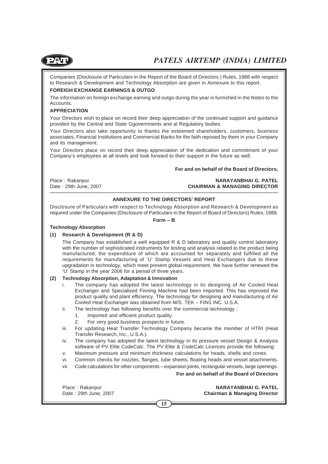

Companies (Disclosure of Particulars in the Report of the Board of Directors ) Rules, 1988 with respect to Research & Development and Technology Absorption are given in Annexure to this report.

#### **FOREIGH EXCHANGE EARNINGS & OUTGO**

The information on foreign exchange earning and outgo during the year is furnished in the Notes to the Accounts.

#### **APPRECIATION**

Your Directors wish to place on record their deep appreciation of the continued support and guidance provided by the Central and State Ggovernments and al Regulatory bodies.

Your Directors also take opportunity to thanks the esteemed shareholders, customers, business associates, Financial Institutions and Commercial Banks for the faith reposed by them in your Company and its management.

Your Directors place on record their deep appreciation of the dedication and commitment of your Company's employees at all levels and look forward to their support in the future as well.

#### **For and on behalf of the Board of Directors,**

Place : Rakanpur **NARAYANBHAI G. PATEL** Date : 29th June, 2007 **CHAIRMAN & MANAGING DIRECTOR** ——————————————————————————————————————————————

#### **ANNEXURE TO THE DIRECTORS' REPORT**

Disclosure of Particulars with respect to Technology Absorption and Research & Development as required under the Companies (Disclosure of Particulars in the Report of Board of Directors) Rules, 1988.

#### **Form – B**

#### **Technology Absorption**

#### **(1) Research & Development (R & D)**

The Company has established a well equipped R & D laboratory and quality control laboratory with the number of sophisticated instruments for testing and analysis related to the product being manufactured, the expenditure of which are accounted for separately and fulfilled all the requirements for manufacturing of 'U' Stamp Vessels and Heat Exchangers due to these upgradation in technology, which meet present global requirement. We have further renewed the 'U' Stamp in the year 2006 for a period of three years.

#### **(2) Technology Absorption, Adaptation & Innovation**

- i. The company has adopted the latest technology in its designing of Air Cooled Heat Exchanger and Specialised Finning Machine had been imported. This has improved the product quality and plant efficiency. The technology for designing and manufacturing of Air Cooled Heat Exchanger was obtained from M/S. TEK – FINS INC. U.S.A.
- ii. The technology has following benefits over the commercial technology :
	- 1. Imported and efficient product quality.
	- 2. For very good business prospects in future.
- iii. For updating Heat Transfer Technology Company became the member of HTRI (Heat Transfer Research, Inc., U.S.A.).
- iv. The company has adopted the latest technology in its pressure vessel Design & Analysis software of PV Elite CodeCalc. The PV Elite & CodeCalc Licences provide the following:
- v. Maximum pressure and minimum thickness calculations for heads, shells and cones.
- vi. Common checks for nozzles, flanges, tube sheets, floating heads and vessel attachments.
- vii. Code calculations for other components expansion joints, rectangular vessels, large openings.

#### **For and on behalf of the Board of Directors**

Place : Rakanpur **NARAYANBHAI G. PATEL** Date : 29th June, 2007 **Chairman & Managing Director**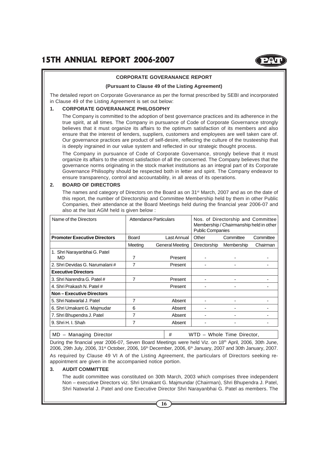

#### **CORPORATE GOVERANANCE REPORT**

#### **(Pursuant to Clause 49 of the Listing Agreement)**

The detailed report on Corporate Goveranance as per the format prescribed by SEBI and incorporated in Clause 49 of the Listing Agreement is set out below:

#### **1. CORPORATE GOVERANANCE PHILOSOPHY**

The Company is committed to the adoption of best governance practices and its adherence in the true spirit, at all times. The Company in pursuance of Code of Corporate Governance strongly believes that it must organize its affairs to the optimum satisfaction of its members and also ensure that the interest of lenders, suppliers, customers and employees are well taken care of. Our governance practices are product of self-desire, reflecting the culture of the trusteeship that is deeply ingrained in our value system and reflected in our strategic thought process.

The Company in pursuance of Code of Corporate Governance, strongly believe that it must organize its affairs to the utmost satisfaction of all the concerned. The Company believes that the governance norms originating in the stock market institutions as an integral part of its Corporate Governance Philisophy should be respected both in letter and spirit. The Company endeavor to ensure transparency, control and accountability, in all areas of its operations.

#### **2. BOARD OF DIRECTORS**

The names and category of Directors on the Board as on 31<sup>st</sup> March, 2007 and as on the date of this report, the number of Directorship and Committee Membership held by them in other Public Companies, their attendance at the Board Meetings held during the financial year 2006-07 and also at the last AGM held is given below :

| Name of the Directors               |         | Attendance Particulars | Nos. of Directorship and Committee<br>Membership / Chairmanship held in other<br><b>Public Companies</b> |            |           |
|-------------------------------------|---------|------------------------|----------------------------------------------------------------------------------------------------------|------------|-----------|
| <b>Promoter Executive Directors</b> | Board   | Last Annual            | Other                                                                                                    | Committee  | Committee |
|                                     | Meeting | General Meeting        | Directorship                                                                                             | Membership | Chairman  |
| 1. Shri Narayanbhai G. Patel        |         |                        |                                                                                                          |            |           |
| MD                                  | 7       | Present                |                                                                                                          |            |           |
| 2. Shri Devidas G. Narumalani #     | 7       | Present                |                                                                                                          |            |           |
| <b>Executive Directors</b>          |         |                        |                                                                                                          |            |           |
| 3. Shri Narendra G. Patel #         | 7       | Present                |                                                                                                          |            |           |
| 4. Shri Prakash N. Patel #          |         | Present                |                                                                                                          |            |           |
| <b>Non-Executive Directors</b>      |         |                        |                                                                                                          |            |           |
| 5. Shri Natwarlal J. Patel          | 7       | Absent                 |                                                                                                          |            |           |
| 6. Shri Umakant G. Majmudar         | 6       | Absent                 |                                                                                                          |            |           |
| 7. Shri Bhupendra J. Patel          | 7       | Absent                 |                                                                                                          |            |           |
| 9. Shri H. I. Shah                  | 7       | Absent                 |                                                                                                          |            |           |
|                                     |         |                        |                                                                                                          |            |           |

| MD – Managing Director | # WTD – Whole Time Director, During the financial year 2006-07, Seven Board Meetings were held Viz. on 18<sup>th</sup> April, 2006, 30th June,

2006, 29th July, 2006,  $31^{st}$  October, 2006,  $16^{th}$  December, 2006,  $6^{th}$  January, 2007 and 30th January, 2007. As required by Clause 49 VI A of the Listing Agreement, the particulars of Directors seeking reappointment are given in the accompanied notice portion.

#### **3. AUDIT COMMITTEE**

The audit committee was constituted on 30th March, 2003 which comprises three independent Non – executive Directors viz. Shri Umakant G. Majmundar (Chairman), Shri Bhupendra J. Patel, Shri Natwarlal J. Patel and one Executive Director Shri Narayanbhai G. Patel as members. The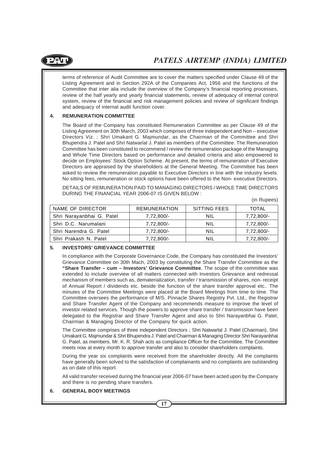

terms of reference of Audit Committee are to cover the matters specified under Clause 49 of the Listing Agreement and in Section 292A of the Companies Act, 1956 and the functions of the Committee that inter alia include the overview of the Company's financial reporting processes, review of the half yearly and yearly financial statements, review of adequacy of internal control system, review of the financial and risk management policies and review of significant findings and adequacy of internal audit function cover.

#### **4. REMUNERATION COMMITTEE**

The Board of the Company has constituted Remuneration Committee as per Clause 49 of the Listing Agreement on 30th March, 2003 which comprises of three independent and Non – executive Directors Viz. ; Shri Umakant G. Majmundar, as the Chairman of the Committee and Shri Bhupendra J. Patel and Shri Natwarlal J. Patel as members of the Committee. The Remuneration Committee has been constituted to recommend / review the remuneration package of the Managing and Whole Time Directors based on performance and detailed criteria and also empowered to decide on Employees' Stock Option Scheme. At present, the terms of remuneration of Executive Directors are appraised by the shareholders at the General Meeting. The Committee has been asked to review the remuneration payable to Executive Directors in line with the industry levels. No sitting fees, remuneration or stock options have been offered to the Non- executive Directors.

DETAILS OF REMUNERATION PAID TO MANAGING DIRECTORS / WHOLE TIME DIRECTORS DURING THE FINANCIAL YEAR 2006-07 IS GIVEN BELOW :

(in Rupees)

| NAME OF DIRECTOR          | <b>REMUNERATION</b> | SITTING FEES | <b>TOTAL</b> |
|---------------------------|---------------------|--------------|--------------|
| Shri Narayanbhai G. Patel | $7.72.800/-$        | NIL          | 7.72.800/-   |
| Shri D.C. Narumalani      | 7,72,800/-          | NIL          | 7,72,800/-   |
| Shri Narendra G. Patel    | 7,72,800/-          | NIL          | 7,72,800/-   |
| Shri Prakash N. Patel     | 7,72,800/-          | NIL          | 7,72,800/-   |

#### **5. INVESTORS' GRIEVANCE COMMITTEE**

In compliance with the Corporate Governance Code, the Company has constituted the Investors' Grievance Committee on 30th Mach, 2003 by constituting the Share Transfer Committee as the **"Share Transfer – cum – Investors' Grievance Committee**. The scope of the committee was extended to include overview of all matters connected with Investors Grievance and redressal mechanism of members such as, dematerialization, transfer / transmission of shares, non- receipt of Annual Report / dividends etc. beside the function of the share transfer approval etc.. The minutes of the Committee Meetings were placed at the Board Meetings from time to time. The Committee oversees the performance of M/S. Pinnacle Shares Registry Pvt. Ltd., the Registrar and Share Transfer Agent of the Company and recommends measure to improve the level of investor related services. Though the powers to approve share transfer / transmission have been delegated to the Registrar and Share Transfer Agent and also to Shri Narayanbhai G. Patel, Chairman & Managing Director of the Company for quick action.

The Committee comprises of three independent Directors ; Shri Natwarlal J. Patel (Chairman), Shri Umakant G. Majmundar & Shri Bhupendra J. Patel and Chairman & Managing Director Shri Narayanbhai G. Patel, as members. Mr. K. R. Shah acts as compliance Officer for the Committee. The Committee meets now at every month to approve transfer and also to consider shareholders complaints.

During the year six complaints were received from the shareholder directly. All the complaints have generally been solved to the satisfaction of complainants and no complaints are outstanding as on date of this report.

All valid transfer received during the financial year 2006-07 have been acted upon by the Company and there is no pending share transfers.

#### **6. GENERAL BODY MEETINGS**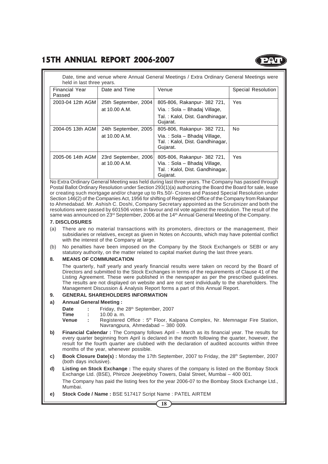

| <b>Financial Year</b><br>Passed | Date and Time                         | Venue                                                                                                      | Special Resolution |
|---------------------------------|---------------------------------------|------------------------------------------------------------------------------------------------------------|--------------------|
| 2003-04 12th AGM                | 25th September, 2004<br>at 10.00 A.M. | 805-806, Rakanpur- 382 721,<br>Via.: Sola - Bhadaj Village,<br>Tal.: Kalol, Dist. Gandhinagar,<br>Gujarat. | <b>Yes</b>         |
| 2004-05 13th AGM                | 24th September, 2005<br>at 10.00 A.M. | 805-806, Rakanpur- 382 721,<br>Via.: Sola - Bhadaj Village,<br>Tal.: Kalol, Dist. Gandhinagar,<br>Gujarat. | No                 |
| 2005-06 14th AGM                | 23rd September, 2006<br>at 10.00 A.M. | 805-806, Rakanpur- 382 721,<br>Via.: Sola - Bhadaj Village,<br>Tal.: Kalol, Dist. Gandhinagar,<br>Gujarat. | Yes                |

No Extra Ordinary General Meeting was held during last three years. The Company has passed through Postal Ballot Ordinary Resolution under Section 293(1)(a) authorizing the Board the Board for sale, lease or creating such mortgage and/or charge up to Rs.50/- Crores and Passed Special Resolution under Section 146(2) of the Companies Act, 1956 for shifting of Registered Office of the Company from Rakanpur to Ahmedabad. Mr. Ashish C. Doshi, Company Secretary appointed as the Scrutinizer and both the resolutions were passed by 601506 votes in favour and nil vote against the resolution. The result of the same was announced on  $23^{rd}$  September, 2006 at the 14<sup>th</sup> Annual General Meeting of the Company.

#### **7. DISCLOSURES**

- (a) There are no material transactions with its promoters, directors or the management, their subsidiaries or relatives, except as given in Notes on Accounts, which may have potential conflict with the interest of the Company at large.
- (b) No penalties have been imposed on the Company by the Stock Exchange/s or SEBI or any statutory authority, on the matter related to capital market during the last three years.

#### **8. MEANS OF COMMUNICATION**

The quarterly, half yearly and yearly financial results were taken on record by the Board of Directors and submitted to the Stock Exchanges in terms of the requirements of Clause 41 of the Listing Agreement. These were published in the newspaper as per the prescribed guidelines. The results are not displayed on website and are not sent individually to the shareholders. The Management Discussion & Analysis Report forms a part of this Annual Report.

#### **9. GENERAL SHAREHOLDERS INFORMATION**

#### **a) Annual General Meeting :**

- Date : Friday, the 28<sup>th</sup> September, 2007<br>Time : 10.00 a m
- **Time :** 10.00 a. m.
- **Venue** : Registered Office : 5<sup>th</sup> Floor, Kalpana Complex, Nr. Memnagar Fire Station, Navrangpura, Ahmedabad – 380 009.
- **b)** Financial Calendar : The Company follows April March as its financial year. The results for every quarter beginning from April is declared in the month following the quarter, however, the result for the fourth quarter are clubbed with the declaration of audited accounts within three months of the year, whenever possible.
- **c)** Book Closure Date(s): Monday the 17th September, 2007 to Friday, the 28<sup>th</sup> September, 2007 (both days inclusive).
- **d) Listing on Stock Exchange :** The equity shares of the company is listed on the Bombay Stock Exchange Ltd. (BSE), Phiroze Jeejeebhoy Towers, Dalal Street, Mumbai – 400 001.

The Company has paid the listing fees for the year 2006-07 to the Bombay Stock Exchange Ltd., Mumbai.

**e) Stock Code / Name :** BSE 517417 Script Name : PATEL AIRTEM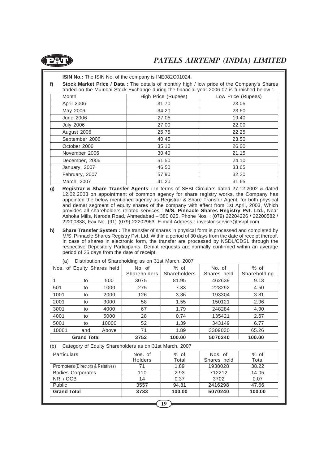

**ISIN No.:** The ISIN No. of the company is INE082C01024.

**f) Stock Market Price / Data :** The details of monthly high / low price of the Company's Shares traded on the Mumbai Stock Exchange during the financial year 2006-07 is furnished below :

| Month            | High Price (Rupees) | Low Price (Rupees) |
|------------------|---------------------|--------------------|
| April 2006       | 31.70               | 23.05              |
| May 2006         | 34.20               | 23.60              |
| June 2006        | 27.05               | 19.40              |
| <b>July 2006</b> | 27.00               | 22.00              |
| August 2006      | 25.75               | 22.25              |
| September 2006   | 40.45               | 23.50              |
| October 2006     | 35.10               | 26.00              |
| November 2006    | 30.40               | 21.15              |
| December, 2006   | 51.50               | 24.10              |
| January, 2007    | 46.50               | 33.65              |
| February, 2007   | 57.90               | 32.20              |
| March, 2007      | 41.20               | 31.65              |

- **g) Registrar & Share Transfer Agents :** In terms of SEBI Circulars dated 27.12.2002 & dated 12.02.2003 on appointment of common agency for share registry works, the Company has appointed the below mentioned agency as Registrar & Share Transfer Agent, for both physical and demat segment of equity shares of the company with effect from 1st April, 2003, Which provides all shareholders related services : **M/S. Pinnacle Shares Registry Pvt. Ltd.,** Near Ashoka Mills, Naroda Road, Ahmedabad – 380 025, Phone Nos. : (079) 22204226 / 22200582 / 22200338, Fax No. (91) (079) 22202963. E-mail Address : investor.service@psrpl.com
- **h) Share Transfer System :** The transfer of shares in physical form is processed and completed by M/S. Pinnacle Shares Registry Pvt. Ltd. Within a period of 30 days from the date of receipt thereof. In case of shares in electronic form, the transfer are processed by NSDL/CDSL through the respective Depository Participants. Demat requests are normally confirmed within an average period of 25 days from the date of receipt.

|       |                    | Nos. of Equity Shares held | No. of              | $%$ of       | No. of      | $%$ of       |
|-------|--------------------|----------------------------|---------------------|--------------|-------------|--------------|
|       |                    |                            | <b>Shareholders</b> | Shareholders | Shares held | Shareholding |
|       | to                 | 500                        | 3075                | 81.95        | 462639      | 9.13         |
| 501   | to                 | 1000                       | 275                 | 7.33         | 228292      | 4.50         |
| 1001  | to                 | 2000                       | 126                 | 3.36         | 193304      | 3.81         |
| 2001  | to                 | 3000                       | 58                  | 1.55         | 150121      | 2.96         |
| 3001  | to                 | 4000                       | 67                  | 1.79         | 248284      | 4.90         |
| 4001  | to                 | 5000                       | 28                  | 0.74         | 135421      | 2.67         |
| 5001  | to                 | 10000                      | 52                  | 1.39         | 343149      | 6.77         |
| 10001 | and                | Above                      | 71                  | 1.89         | 3309030     | 65.26        |
|       | <b>Grand Total</b> |                            | 3752                | 100.00       | 5070240     | 100.00       |

Distribution of Shareholding as on 31st March, 2007

(b) Category of Equity Shareholders as on 31st March, 2007

| <b>Particulars</b>                           | Nos. of<br><b>Holders</b> | $%$ of<br>Total | Nos. of<br>Shares held | $%$ of<br>Total |
|----------------------------------------------|---------------------------|-----------------|------------------------|-----------------|
| <b>Promoters (Directors &amp; Relatives)</b> | 71                        | 1.89            | 1938028                | 38.22           |
| <b>Bodies Corporates</b>                     | 110                       | 2.93            | 712212                 | 14.05           |
| NRI/OCB                                      | 14                        | 0.37            | 3702                   | 0.07            |
| Public                                       | 3557                      | 94.81           | 2416298                | 47.66           |
| <b>Grand Total</b>                           | 3783                      | 100.00          | 5070240                | 100.00          |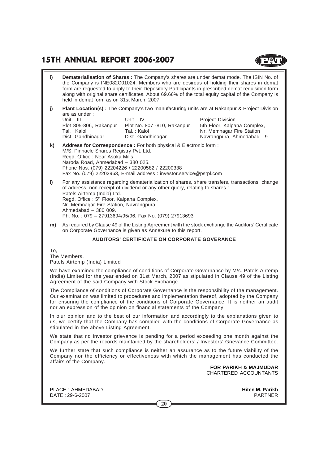### **15TH ANNUAL REPORT 2006-2007**

**i) Dematerialisation of Shares :** The Company's shares are under demat mode. The ISIN No. of the Company is INE082C01024. Members who are desirous of holding their shares in demat form are requested to apply to their Depository Participants in prescribed demat requisition form along with original share certificates. About 69.66% of the total equity capital of the Company is held in demat form as on 31st March, 2007.

**j)** Plant Location(s) : The Company's two manufacturing units are at Rakanpur & Project Division are as under :

Unit – III Unit – IV Project Division Plot 805-806, Rakanpur Plot No. 807 -810, Rakanpur 5th Floor, Kalpana Complex,<br>Tal.: Kalol Tal.: Kalol Nr. Memnagar Fire Station Dist. Gandhinagar Dist. Gandhinagar Navrangpura, Ahmedabad - 9.

Nr. Memnagar Fire Station

**k) Address for Correspondence :** For both physical & Electronic form : M/S. Pinnacle Shares Registry Pvt. Ltd. Regd. Office : Near Asoka Mills Naroda Road, Ahmedabad – 380 025. Phone Nos. (079) 22204226 / 22200582 / 22200338 Fax No. (079) 22202963, E-mail address : investor.service@psrpl.com

**l)** For any assistance regarding dematerialization of shares, share transfers, transactions, change of address, non-receipt of dividend or any other query, relating to shares : Patels Airtemp (India) Ltd. Regd. Office : 5<sup>th</sup> Floor, Kalpana Complex, Nr. Memnagar Fire Station, Navrangpura, Ahmedabad – 380 009. Ph. No. : 079 – 27913694/95/96, Fax No. (079) 27913693

**m)** As required by Clause 49 of the Listing Agreement with the stock exchange the Auditors' Certificate on Corporate Governance is given as Annexure to this report.

#### **AUDITORS' CERTIFICATE ON CORPORATE GOVERANCE**

To,

The Members, Patels Airtemp (India) Limited

We have examined the compliance of conditions of Corporate Governance by M/s. Patels Airtemp (India) Limited for the year ended on 31st March, 2007 as stipulated in Clause 49 of the Listing Agreement of the said Company with Stock Exchange.

The Compliance of conditions of Corporate Governance is the responsibility of the management. Our examination was limited to procedures and implementation thereof, adopted by the Company for ensuring the compliance of the conditions of Corporate Governance. It is neither an audit nor an expression of the opinion on financial statements of the Company.

In o ur opinion and to the best of our information and accordingly to the explanations given to us, we certify that the Company has complied with the conditions of Corporate Governance as stipulated in the above Listing Agreement.

We state that no investor grievance is pending for a period exceeding one month against the Company as per the records maintained by the shareholders' / Investors' Grievance Committee.

We further state that such compliance is neither an assurance as to the future viability of the Company nor the efficiency or effectiveness with which the management has conducted the affairs of the Company.

**FOR PARIKH & MAJMUDAR** CHARTERED ACCOUNTANTS

PLACE : AHMEDABAD **Hiten M. Parikh** DATE : 29-6-2007 PARTNER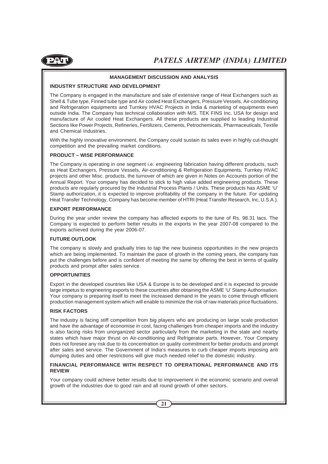

#### **MANAGEMENT DISCUSSION AND ANALYSIS**

#### **INDUSTRY STRUCTURE AND DEVELOPMENT**

The Company is engaged in the manufacture and sale of extensive range of Heat Exchangers such as Shell & Tube type, Finned tube type and Air cooled Heat Exchangers, Pressure Vessels, Air-conditioning and Refrigeration equipments and Turnkey HVAC Projects in India & marketing of equipments even outside India. The Company has technical collaboration with M/S. TEK FINS Inc. USA for design and manufacture of Air cooled Heat Exchangers. All these products are supplied to leading Industrial Sections like Power Projects, Refineries, Fertilizers, Cements, Petrochemicals, Pharmaceuticals, Textile and Chemical Industries.

With the highly innovative environment, the Company could sustain its sales even in highly cut-thought competition and the prevailing market conditions.

#### **PRODUCT – WISE PERFORMANCE**

The Company is operating in one segment i.e. engineering fabrication having different products, such as Heat Exchangers, Pressure Vessels, Air-conditioning & Refrigeration Equipments, Turnkey HVAC projects and other Misc. products, the turnover of which are given in Notes on Accounts portion of the Annual Report. Your company has decided to stick to high value added engineering products. These products are regularly procured by the Industrial Process Plants / Units. These products has ASME 'U' Stamp authorization, it is expected to improve profitability of the company in the future. For updating Heat Transfer Technology, Company has become member of HTRI (Heat Transfer Research, Inc, U.S.A.).

#### **EXPORT PERFORMANCE**

During the year under review the company has affected exports to the tune of Rs. 98.31 lacs. The Company is expected to perform better results in the exports in the year 2007-08 compared to the exports achieved during the year 2006-07.

#### **FUTURE OUTLOOK**

The company is slowly and gradually tries to tap the new business opportunities in the new projects which are being implemented. To maintain the pace of growth in the coming years, the company has put the challenges before and is confident of meeting the same by offering the best in terms of quality products and prompt after sales service.

#### **OPPORTUNITIES**

Export in the developed countries like USA & Europe is to be developed and it is expected to provide large impetus to engineering exports to these countries after obtaining the ASME 'U' Stamp Authorisation. Your company is preparing itself to meet the increased demand in the years to come through efficient production management system which will enable to minimize the risk of raw materials price fluctuations.

#### **RISK FACTORS**

The industry is facing stiff competition from big players who are producing on large scale production and have the advantage of economise in cost, facing challenges from cheaper imports and the industry is also facing risks from unorganized sector particularly from the marketing in the state and nearby states which have major thrust on Air-conditioning and Refrigerator parts. However, Your Company does not foresee any risk due to its concentration on quality commitment for better products and prompt after sales and service. The Government of India's measures to curb cheaper imports imposing anti dumping duties and other restrictions will give much needed relief to the domestic industry.

#### **FINANCIAL PERFORMANCE WITH RESPECT TO OPERATIONAL PERFORMANCE AND ITS REVIEW**

Your company could achieve better results due to improvement in the economic scenario and overall growth of the industries due to good rain and all round growth of other sectors.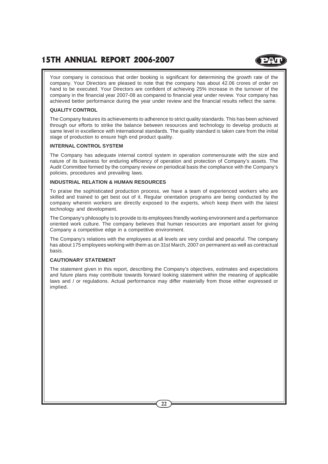### **15TH ANNUAL REPORT 2006-2007**

Your company is conscious that order booking is significant for determining the growth rate of the company. Your Directors are pleased to note that the company has about 42.06 crores of order on hand to be executed. Your Directors are confident of achieving 25% increase in the turnover of the company in the financial year 2007-08 as compared to financial year under review. Your company has achieved better performance during the year under review and the financial results reflect the same.

#### **QUALITY CONTROL**

The Company features its achievements to adherence to strict quality standards. This has been achieved through our efforts to strike the balance between resources and technology to develop products at same level in excellence with international standards. The quality standard is taken care from the initial stage of production to ensure high end product quality.

#### **INTERNAL CONTROL SYSTEM**

The Company has adequate internal control system in operation commensurate with the size and nature of its business for enduring efficiency of operation and protection of Company's assets. The Audit Committee formed by the company review on periodical basis the compliance with the Company's policies, procedures and prevailing laws.

#### **INDUSTRIAL RELATION & HUMAN RESOURCES**

To praise the sophisticated production process, we have a team of experienced workers who are skilled and trained to get best out of it. Regular orientation programs are being conducted by the company wherein workers are directly exposed to the experts, which keep them with the latest technology and development.

The Company's philosophy is to provide to its employees friendly working environment and a performance oriented work culture. The company believes that human resources are important asset for giving Company a competitive edge in a competitive environment.

The Company's relations with the employees at all levels are very cordial and peaceful. The company has about 175 employees working with them as on 31st March, 2007 on permanent as well as contractual basis.

#### **CAUTIONARY STATEMENT**

The statement given in this report, describing the Company's objectives, estimates and expectations and future plans may contribute towards forward looking statement within the meaning of applicable laws and / or regulations. Actual performance may differ materially from those either expressed or implied.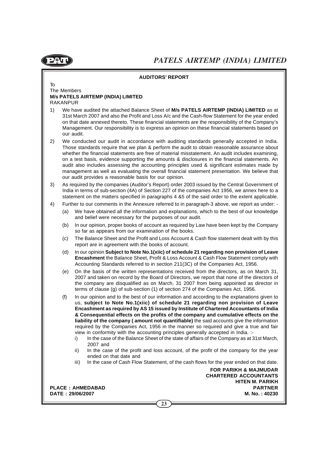

#### **AUDITORS' REPORT**

To The Members **M/s PATELS AIRTEMP (INDIA) LIMITED** RAKANPUR

- 1) We have audited the attached Balance Sheet of **M/s PATELS AIRTEMP (INDIA) LIMITED** as at 31st March 2007 and also the Profit and Loss A/c and the Cash-flow Statement for the year ended on that date annexed thereto. These financial statements are the responsibility of the Company's Management. Our responsibility is to express an opinion on these financial statements based on our audit.
- 2) We conducted our audit in accordance with auditing standards generally accepted in India. Those standards require that we plan & perform the audit to obtain reasonable assurance about whether the financial statements are free of material misstatement. An audit includes examining, on a test basis, evidence supporting the amounts & disclosures in the financial statements. An audit also includes assessing the accounting principles used & significant estimates made by management as well as evaluating the overall financial statement presentation. We believe that our audit provides a reasonable basis for our opinion.
- 3) As required by the companies (Auditor's Report) order 2003 issued by the Central Government of India in terms of sub-section (4A) of Section 227 of the companies Act 1956, we annex here to a statement on the matters specified in paragraphs 4 &5 of the said order to the extent applicable.
- 4) Further to our comments in the Annexure referred to in paragraph-3 above, we report as under: -
	- (a) We have obtained all the information and explanations, which to the best of our knowledge and belief were necessary for the purposes of our audit.
	- (b) In our opinion, proper books of account as required by Law have been kept by the Company so far as appears from our examination of the books.
	- (c) The Balance Sheet and the Profit and Loss Account & Cash flow statement dealt with by this report are in agreement with the books of account.
	- (d) In our opinion **Subject to Note No.1(xiic) of schedule 21 regarding non provision of Leave Encashment** the Balance Sheet, Profit & Loss Account & Cash Flow Statement comply with Accounting Standards referred to in section 211(3C) of the Companies Act, 1956.
	- (e) On the basis of the written representations received from the directors, as on March 31, 2007 and taken on record by the Board of Directors, we report that none of the directors of the company are disqualified as on March, 31 2007 from being appointed as director in terms of clause (g) of sub-section (1) of section 274 of the Companies Act, 1956.
	- (f) In our opinion and to the best of our information and according to the explanations given to us, **subject to Note No.1(xiic) of schedule 21 regarding non provision of Leave Encashment as required by AS 15 issued by Institute of Chartered Accountants of India & Consequential effects on the profits of the company and cumulative effects on the liability of the company ( amount not quantifiable)** the said accounts give the information required by the Companies Act, 1956 in the manner so required and give a true and fair view in conformity with the accounting principles generally accepted in India. :
		- i) In the case of the Balance Sheet of the state of affairs of the Company as at 31st March, 2007 and
		- ii) In the case of the profit and loss account, of the profit of the company for the year ended on that date and
		- iii) In the case of Cash Flow Statement, of the cash flows for the year ended on that date.

**FOR PARIKH & MAJMUDAR CHARTERED ACCOUNTANTS HITEN M. PARIKH PLACE : AHMEDABAD PARTNER DATE : 29/06/2007 M. No. : 40230**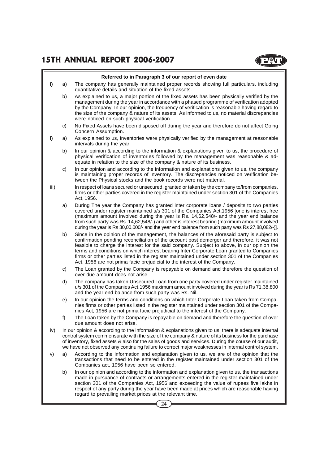#### **Referred to in Paragraph 3 of our report of even date**

- **i)** a) The company has generally maintained proper records showing full particulars, including quantitative details and situation of the fixed assets.
	- b) As explained to us, a major portion of the fixed assets has been physically verified by the management during the year in accordance with a phased programme of verification adopted by the Company. In our opinion, the frequency of verification is reasonable having regard to the size of the company & nature of its assets. As informed to us, no material discrepancies were noticed on such physical verification.
	- c) No Fixed Assets have been disposed off during the year and therefore do not affect Going Concern Assumption.
- **i)** a) As explained to us, inventories were physically verified by the management at reasonable intervals during the year.
	- b) In our opinion & according to the information & explanations given to us, the procedure of physical verification of inventories followed by the management was reasonable & adequate in relation to the size of the company & nature of its business.
	- c) In our opinion and according to the information and explanations given to us, the company is maintaining proper records of inventory. The discrepancies noticed on verification between the Physical stocks and the book records were not material.
- iii) In respect of loans secured or unsecured, granted or taken by the company to/from companies, firms or other parties covered in the register maintained under section 301 of the Companies Act, 1956.
	- a) During The year the Company has granted inter corporate loans / deposits to two parties covered under register maintained u/s 301 of the Companies Act,1956 [one is interest free (maximum amount involved during the year is Rs. 14,62,548/- and the year end balance from such party was Rs. 14,62,548/-) and other is interest bearing (maximum amount involved during the year is Rs 30,00,000/- and the year end balance from such party was Rs 27,88,082/-)].
	- b) Since in the opinion of the management, the balances of the aforesaid party is subject to confirmation pending reconciliation of the account post demerger and therefore, it was not feasible to charge the interest for the said company. Subject to above, in our opinion the terms and conditions on which interest bearing Inter Corporate Loan granted to Companies firms or other parties listed in the register maintained under section 301 of the Companies Act, 1956 are not prima facie prejudicial to the interest of the Company.
	- c) The Loan granted by the Company is repayable on demand and therefore the question of over due amount does not arise
	- d) The company has taken Unsecured Loan from one party covered under register maintained u/s 301 of the Companies Act,1956 maximum amount involved during the year is Rs 71,38,800 and the year end balance from such party was Rs. Nil.
	- e) In our opinion the terms and conditions on which Inter Corporate Loan taken from Companies firms or other parties listed in the register maintained under section 301 of the Companies Act, 1956 are not prima facie prejudicial to the interest of the Company.
	- f) The Loan taken by the Company is repayable on demand and therefore the question of over due amount does not arise.
- iv) In our opinion & according to the information & explanations given to us, there is adequate internal control system commensurate with the size of the company & nature of its business for the purchase of inventory, fixed assets & also for the sales of goods and services. During the course of our audit, we have not observed any continuing failure to correct major weaknesses in Internal control system.
- v) a) According to the information and explanation given to us, we are of the opinion that the transactions that need to be entered in the register maintained under section 301 of the Companies act, 1956 have been so entered.
	- b) In our opinion and according to the information and explanation given to us, the transactions made in pursuance of contracts or arrangements entered in the register maintained under section 301 of the Companies Act, 1956 and exceeding the value of rupees five lakhs in respect of any party during the year have been made at prices which are reasonable having regard to prevailing market prices at the relevant time.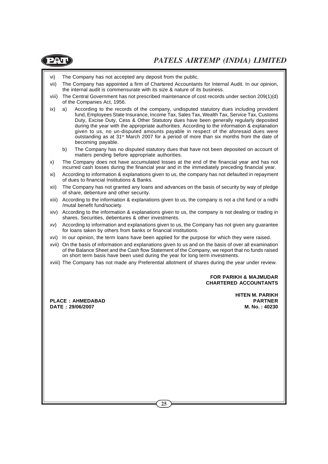

- vi) The Company has not accepted any deposit from the public.
- vii) The Company has appointed a firm of Chartered Accountants for Internal Audit. In our opinion, the internal audit is commensurate with its size & nature of its business.
- viii) The Central Government has not prescribed maintenance of cost records under section 209(1)(d) of the Companies Act, 1956.
- ix) a) According to the records of the company, undisputed statutory dues including provident fund, Employees State Insurance, Income Tax, Sales Tax, Wealth Tax, Service Tax, Customs Duty, Excise Duty, Cess & Other Statutory dues have been generally regularly deposited during the year with the appropriate authorities. According to the information & explanation given to us, no un-disputed amounts payable in respect of the aforesaid dues were outstanding as at 31<sup>st</sup> March 2007 for a period of more than six months from the date of becoming payable.
	- b) The Company has no disputed statutory dues that have not been deposited on account of matters pending before appropriate authorities.
- x) The Company does not have accumulated losses at the end of the financial year and has not incurred cash losses during the financial year and in the immediately preceding financial year.
- xi) According to information & explanations given to us, the company has not defaulted in repayment of dues to financial Institutions & Banks.
- xii) The Company has not granted any loans and advances on the basis of security by way of pledge of share, debenture and other security.
- xiii) According to the information & explanations given to us, the company is not a chit fund or a nidhi /mutal benefit fund/society.
- xiv) According to the information & explanations given to us, the company is not dealing or trading in shares, Securities, debentures & other investments.
- xv) According to information and explanations given to us, the Company has not given any guarantee for loans taken by others from banks or financial institutions.
- xvi) In our opinion, the term loans have been applied for the purpose for which they were raised.
- xvii) On the basis of information and explanations given to us and on the basis of over all examination of the Balance Sheet and the Cash flow Statement of the Company, we report that no funds raised on short term basis have been used during the year for long term investments.
- xviii) The Company has not made any Preferential allotment of shares during the year under review.

#### **FOR PARIKH & MAJMUDAR CHARTERED ACCOUNTANTS**

**PLACE : AHMEDABAD PARTNER DATE : 29/06/2007 M. No. : 40230**

**HITEN M. PARIKH**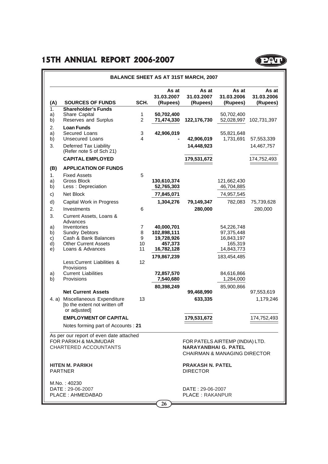|                            |                                                                                                                             |                         |                                                                  | <b>BALANCE SHEET AS AT 31ST MARCH, 2007</b>                                                               |                                                                 |                                 |
|----------------------------|-----------------------------------------------------------------------------------------------------------------------------|-------------------------|------------------------------------------------------------------|-----------------------------------------------------------------------------------------------------------|-----------------------------------------------------------------|---------------------------------|
| (A)                        | <b>SOURCES OF FUNDS</b>                                                                                                     | SCH.                    | As at<br>31.03.2007<br>(Rupees)                                  | As at<br>31.03.2007<br>(Rupees)                                                                           | As at<br>31.03.2006<br>(Rupees)                                 | As at<br>31.03.2006<br>(Rupees) |
| 1.<br>a)<br>b)             | <b>Shareholder's Funds</b><br>Share Capital<br>Reserves and Surplus                                                         | 1<br>$\overline{2}$     | 50,702,400<br>71,474,330                                         | 122,176,730                                                                                               | 50,702,400<br>52,028,997                                        | 102,731,397                     |
| 2.<br>a)<br>b)             | <b>Loan Funds</b><br>Secured Loans<br><b>Unsecured Loans</b>                                                                | 3<br>4                  | 42,906,019                                                       | 42,906,019                                                                                                | 55,821,648<br>1,731,691                                         | 57,553,339                      |
| 3.                         | Deferred Tax Liability<br>(Refer note 5 of Sch 21)                                                                          |                         |                                                                  | 14,448,923                                                                                                |                                                                 | 14,467,757                      |
|                            | <b>CAPITAL EMPLOYED</b>                                                                                                     |                         |                                                                  | 179,531,672                                                                                               |                                                                 | 174,752,493                     |
| (B)                        | <b>APPLICATION OF FUNDS</b>                                                                                                 |                         |                                                                  |                                                                                                           |                                                                 |                                 |
| 1.<br>a)<br>b)             | <b>Fixed Assets</b><br><b>Gross Block</b><br>Less: Depreciation                                                             | 5                       | 130,610,374<br>52,765,303                                        |                                                                                                           | 121,662,430<br>46,704,885                                       |                                 |
| c)                         | Net Block                                                                                                                   |                         | 77,845,071                                                       |                                                                                                           | 74,957,545                                                      |                                 |
| d)                         | Capital Work in Progress                                                                                                    |                         | 1,304,276                                                        | 79,149,347                                                                                                | 782,083                                                         | 75,739,628                      |
| 2.                         | Investments                                                                                                                 | 6                       |                                                                  | 280,000                                                                                                   |                                                                 | 280,000                         |
| 3.                         | Current Assets, Loans &                                                                                                     |                         |                                                                  |                                                                                                           |                                                                 |                                 |
| a)<br>b)<br>C)<br>d)<br>e) | Advances<br>Inventories<br><b>Sundry Debtors</b><br>Cash & Bank Balances<br><b>Other Current Assets</b><br>Loans & Advances | 7<br>8<br>9<br>10<br>11 | 40.000.701<br>102,898,111<br>19,728,926<br>457,373<br>16,782,128 |                                                                                                           | 54,226,748<br>97,375,448<br>16,843,197<br>165,319<br>14,843,773 |                                 |
|                            | Less:Current Liabilities &                                                                                                  | 12                      | 179,867,239                                                      |                                                                                                           | 183,454,485                                                     |                                 |
| a)<br>b)                   | Provisions<br><b>Current Liabilities</b><br>Provisions                                                                      |                         | 72,857,570<br>7,540,680                                          |                                                                                                           | 84,616,866<br>1,284,000                                         |                                 |
|                            | <b>Net Current Assets</b>                                                                                                   |                         | 80,398,249                                                       |                                                                                                           | 85,900,866                                                      |                                 |
|                            | 4. a) Miscellaneous Expenditure<br>[to the extent not written off<br>or adjusted]                                           | 13                      |                                                                  | 99,468,990<br>633,335                                                                                     |                                                                 | 97,553,619<br>1,179,246         |
|                            | <b>EMPLOYMENT OF CAPITAL</b>                                                                                                |                         |                                                                  | 179,531,672                                                                                               |                                                                 | 174,752,493                     |
|                            | Notes forming part of Accounts: 21                                                                                          |                         |                                                                  |                                                                                                           |                                                                 |                                 |
|                            | As per our report of even date attached<br>FOR PARIKH & MAJMUDAR<br>CHARTERED ACCOUNTANTS                                   |                         |                                                                  | FOR PATELS AIRTEMP (INDIA) LTD.<br><b>NARAYANBHAI G. PATEL</b><br><b>CHAIRMAN &amp; MANAGING DIRECTOR</b> |                                                                 |                                 |
|                            | <b>HITEN M. PARIKH</b><br><b>PARTNER</b>                                                                                    |                         |                                                                  | <b>PRAKASH N. PATEL</b><br><b>DIRECTOR</b>                                                                |                                                                 |                                 |
|                            | M.No.: 40230                                                                                                                |                         |                                                                  |                                                                                                           |                                                                 |                                 |
|                            |                                                                                                                             |                         |                                                                  |                                                                                                           |                                                                 |                                 |

**P**QU

DATE : 29-06-2007 DATE : 29-06-2007 PLACE : AHMEDABAD

**26**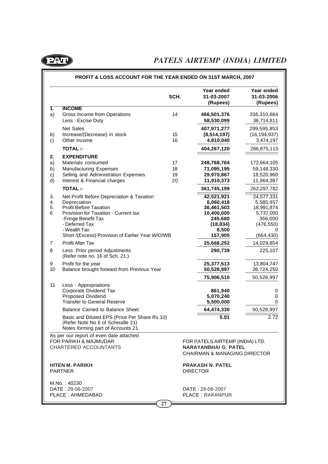

|                            |                                                                                                                                                                                             | SCH.                 |                 | Year ended<br>31-03-2007<br>(Rupees)                                                                      | Year ended<br>31-03-2006<br>(Rupees)                                        |
|----------------------------|---------------------------------------------------------------------------------------------------------------------------------------------------------------------------------------------|----------------------|-----------------|-----------------------------------------------------------------------------------------------------------|-----------------------------------------------------------------------------|
| 1.<br>a)                   | <b>INCOME</b><br>Gross Income from Operations<br>Less: Excise Duty                                                                                                                          | 14                   |                 | 466,501,376<br>58,530,099                                                                                 | 336,310,664<br>36,714,811                                                   |
| b)                         | <b>Net Sales</b><br>Increase/(Decrease) in stock                                                                                                                                            | 15                   |                 | 407,971,277<br>(8, 514, 197)                                                                              | 299,595,853<br>(16, 194, 937)                                               |
| c)                         | Other Income                                                                                                                                                                                | 16                   |                 | 4,810,040                                                                                                 | 3,474,197                                                                   |
|                            | <b>TOTAL:-</b>                                                                                                                                                                              |                      |                 | 404,267,120                                                                                               | 286,875,113                                                                 |
| 2.<br>a)<br>b)<br>c)<br>d) | <b>EXPENDITURE</b><br>Materials consumed<br><b>Manufacturing Expenses</b><br>Selling and Administration Expenses<br>Interest & Financial charges                                            | 17<br>18<br>19<br>20 |                 | 248,768,764<br>71,095,195<br>29,970,867<br>11,910,373                                                     | 172,664,105<br>59,148,330<br>18,520,960<br>11,964,387                       |
|                            | <b>TOTAL:-</b>                                                                                                                                                                              |                      |                 | 361,745,199                                                                                               | 262,297,782                                                                 |
| 3.<br>4.<br>5.<br>6        | Net Profit Before Depreciation & Taxation<br>Depreciation<br><b>Profit Before Taxation</b><br>Provision for Taxation - Current tax<br>-Fringe Benefit Tax<br>- Deferred Tax<br>- Wealth Tax |                      |                 | 42,521,921<br>6,060,418<br>36,461,503<br>10,400,000<br>245,680<br>(18, 834)<br>8,500                      | 24,577,331<br>5,585,457<br>18,991,874<br>5,737,000<br>366,000<br>(476, 550) |
|                            | Short /(Excess) Provision of Earlier Year W/O/WB                                                                                                                                            |                      |                 | 157,905                                                                                                   | (664,430)                                                                   |
| 7                          | <b>Profit After Tax</b>                                                                                                                                                                     |                      |                 | 25,668,252                                                                                                | 14,029,854                                                                  |
| 8                          | Less : Prior period Adjustments<br>(Refer note no. 16 of Sch. 21.)                                                                                                                          |                      |                 | 290,739                                                                                                   | 225,107                                                                     |
| 9<br>10                    | Profit for the year<br>Balance brought forward from Previous Year                                                                                                                           |                      |                 | 25,377,513<br>50,528,997                                                                                  | 13,804,747<br>36,724,250                                                    |
|                            |                                                                                                                                                                                             |                      |                 | 75,906,510                                                                                                | 50,528,997                                                                  |
| 11                         | Less: Appropriations<br>Corporate Dividend Tax<br>Proposed Dividend<br><b>Transfer to General Reserve</b>                                                                                   |                      |                 | 861,940<br>5,070,240<br>5,500,000                                                                         | 0<br>0<br>0                                                                 |
|                            | <b>Balance Carried to Balance Sheet</b>                                                                                                                                                     |                      |                 | 64,474,330                                                                                                | 50,528,997                                                                  |
|                            | Basic and Diluted EPS (Price Per Share Rs 10)<br>(Refer Note No 6 of Scheudle 21)<br>Notes forming part of Accounts 21                                                                      |                      |                 | 5.01                                                                                                      | 2.72                                                                        |
|                            | As per our report of even date attached<br>FOR PARIKH & MAJMUDAR<br>CHARTERED ACCOUNTANTS                                                                                                   |                      |                 | FOR PATELS AIRTEMP (INDIA) LTD.<br><b>NARAYANBHAI G. PATEL</b><br><b>CHAIRMAN &amp; MANAGING DIRECTOR</b> |                                                                             |
|                            | HITEN M. PARIKH<br><b>PARTNER</b>                                                                                                                                                           |                      | <b>DIRECTOR</b> | <b>PRAKASH N. PATEL</b>                                                                                   |                                                                             |
|                            | M.No.: 40230<br>DATE: 29-06-2007<br>PLACE: AHMEDABAD                                                                                                                                        |                      |                 | DATE: 29-06-2007<br><b>PLACE: RAKANPUR</b>                                                                |                                                                             |

#### **PROFIT & LOSS ACCOUNT FOR THE YEAR ENDED ON 31ST MARCH, 2007**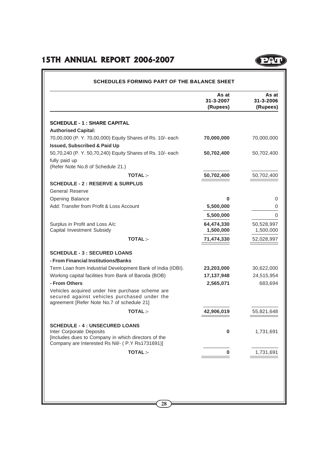### **15TH ANNUAL REPORT 2006-2007**

|                                                                                                                                                | As at<br>31-3-2007<br>(Rupees) | As at<br>31-3-2006<br>(Rupees) |
|------------------------------------------------------------------------------------------------------------------------------------------------|--------------------------------|--------------------------------|
| <b>SCHEDULE - 1 : SHARE CAPITAL</b>                                                                                                            |                                |                                |
| <b>Authorised Capital:</b>                                                                                                                     |                                |                                |
| 70,00,000 (P. Y. 70,00,000) Equity Shares of Rs. 10/- each                                                                                     | 70,000,000                     | 70,000,000                     |
| <b>Issued, Subscribed &amp; Paid Up</b>                                                                                                        |                                |                                |
| 50,70,240 (P. Y. 50,70,240) Equity Shares of Rs. 10/- each                                                                                     | 50,702,400                     | 50,702,400                     |
| fully paid up                                                                                                                                  |                                |                                |
| (Refer Note No.8 of Schedule 21.)                                                                                                              |                                |                                |
| <b>TOTAL:-</b>                                                                                                                                 | 50,702,400                     | 50,702,400                     |
| <b>SCHEDULE - 2 : RESERVE &amp; SURPLUS</b>                                                                                                    |                                |                                |
| <b>General Reserve</b>                                                                                                                         |                                |                                |
| Opening Balance                                                                                                                                | $\bf{0}$                       | 0                              |
| Add: Transfer from Profit & Loss Account                                                                                                       | 5,500,000                      | 0                              |
|                                                                                                                                                | 5,500,000                      | $\Omega$                       |
| Surplus in Profit and Loss A/c                                                                                                                 | 64,474,330                     | 50,528,997                     |
| Capital Investment Subsidy                                                                                                                     | 1,500,000                      | 1,500,000                      |
| <b>TOTAL:-</b>                                                                                                                                 | 71,474,330                     | 52,028,997                     |
| <b>SCHEDULE - 3 : SECURED LOANS</b>                                                                                                            |                                |                                |
| - From Financial Institutions/Banks                                                                                                            |                                |                                |
| Term Loan from Industrial Development Bank of India (IDBI).                                                                                    | 23,203,000                     | 30,622,000                     |
| Working capital facilities from Bank of Baroda (BOB)                                                                                           | 17,137,948                     | 24,515,954                     |
| - From Others                                                                                                                                  | 2,565,071                      | 683,694                        |
| Vehicles acquired under hire purchase scheme are<br>secured against vehicles purchased under the<br>agreement [Refer Note No.7 of schedule 21] |                                |                                |
| <b>TOTAL:-</b>                                                                                                                                 | 42,906,019                     | 55,821,648                     |
| <b>SCHEDULE - 4 : UNSECURED LOANS</b>                                                                                                          |                                |                                |
| Inter Corporate Deposits                                                                                                                       | 0                              | 1,731,691                      |
| [Includes dues to Company in which directors of the<br>Company are Interested Rs Nil/- (P.Y Rs1731691)]                                        |                                |                                |
|                                                                                                                                                |                                |                                |
| <b>TOTAL:-</b>                                                                                                                                 | 0                              | 1,731,691                      |

(POI)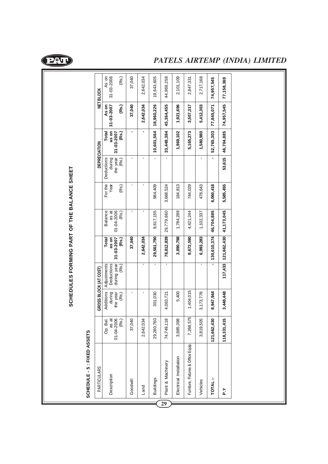

**SCHEDULES FORMING PART OF THE BALANCE SHEET**

SCHEDULES FORMING PART OF THE BALANCE SHEET

### *PATELS AIRTEMP (INDIA) LIMITED*

| SCHEDULE - 5 : FIXED ASSETS         |                                          |                                          |                                                   |                                       |                                                |                          |                                           |                                       |                              |                              |
|-------------------------------------|------------------------------------------|------------------------------------------|---------------------------------------------------|---------------------------------------|------------------------------------------------|--------------------------|-------------------------------------------|---------------------------------------|------------------------------|------------------------------|
| <b>PARTICULARS</b>                  |                                          | GROSS BLOCK (AT COST)                    |                                                   |                                       |                                                |                          | DEPRECIATION                              |                                       |                              | <b>NET BLOCK</b>             |
| Description                         | Op. Bal.<br>01-04-2006<br>(Rs.)<br>as at | Additions<br>during<br>the year<br>(Rs.) | Deductions<br>Adjustments<br>during year<br>(Rs.) | as on<br>31-03-2007<br>Total<br>(Rs.) | as at<br><b>Balance</b><br>01-04-2006<br>(Rs.) | For the<br>Year<br>(Rs.) | Deductions<br>during<br>the year<br>(Rs.) | as on<br>31-03-2007<br>Total<br>(Rs.) | As on<br>31-03-2007<br>(Rs.) | 31-03-2006<br>As on<br>(Rs.) |
| Goodwill                            | 37,040                                   |                                          |                                                   | 37,040                                |                                                | ı                        |                                           |                                       | 37,040                       | 37,040                       |
| Land                                | 2,642,034                                |                                          |                                                   | 2,642,034                             |                                                |                          |                                           | ı                                     | 2,642,034                    | 2,642,034                    |
| <b>Buildings</b>                    | 29,260,760                               | 301,030                                  |                                                   | 29,561,790                            | 9,617,155                                      | 984,409                  |                                           | 10,601,564                            | 18,960,226                   | 19,643,605                   |
| Plant & Machinery                   | 74,749,118                               | 4,063,721                                |                                                   | 78,812,839                            | 29,779,860                                     | 3,668,524                |                                           | 33,448,384                            | 45,364,455                   | 44,969,258                   |
| Electrical Installation             | 3,885,398                                | 5,400                                    |                                                   | 3,890,798                             | 1,784,289                                      | 184,813                  |                                           | 1,969,102                             | 1,921,696                    | 2,101,109                    |
| Furniture, Fixtures & Office Equip. | 7,268,575                                | 1,404,015                                |                                                   | 8,672,590                             | 4,421,244                                      | 744,029                  |                                           | 5,165,273                             | 3,507,317                    | 2,847,331                    |
| Vehicles                            | 3,819,505                                | 3,173,778                                |                                                   | 6,993,283                             | 1,102,337                                      | 478,643                  |                                           | 1,580,980                             | 5,412,303                    | 2,717,168                    |
| TOTAL:-                             | 121,662,430                              | 8,947,944                                |                                                   | $- 130,610,374 $                      | 46,704,885                                     | 6,060,418                |                                           | 52,765,303                            | 77,845,071                   | 74,957,545                   |
| ^`م                                 | 118,331,415                              | 3,448,448                                |                                                   | 117,433 121,662,430 41,173,045        |                                                | 5,585,455                | 53,615                                    | 46,704,885                            | 74,957,545                   | 77,158,369                   |
|                                     |                                          |                                          |                                                   |                                       |                                                |                          |                                           |                                       |                              |                              |

**29**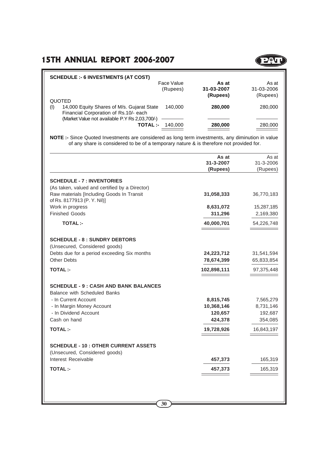

| <b>SCHEDULE :- 6 INVESTMENTS (AT COST)</b>        |            |            |            |
|---------------------------------------------------|------------|------------|------------|
|                                                   | Face Value | As at      | As at      |
|                                                   | (Rupees)   | 31-03-2007 | 31-03-2006 |
|                                                   |            | (Rupees)   | (Rupees)   |
| QUOTED                                            |            |            |            |
| 14,000 Equity Shares of M/s. Gujarat State<br>(1) | 140,000    | 280,000    | 280,000    |
| Financial Corporation of Rs.10/- each             |            |            |            |
| (Market Value not available P.Y Rs 2,03,700/-)    |            |            |            |
| <b>TOTAL:-</b>                                    | 140.000    | 280,000    | 280,000    |
|                                                   |            |            |            |

**NOTE :-** Since Quoted Investments are considered as long term investments, any diminution in value of any share is considered to be of a temporary nature & is therefore not provided for.

|                                                                                                                            | As at<br>31-3-2007<br>(Rupees) | As at<br>31-3-2006<br>(Rupees) |
|----------------------------------------------------------------------------------------------------------------------------|--------------------------------|--------------------------------|
| <b>SCHEDULE - 7 : INVENTORIES</b>                                                                                          |                                |                                |
| (As taken, valued and certified by a Director)<br>Raw materials [Including Goods In Transit<br>of Rs. 8177913 (P. Y. Nil)] | 31,058,333                     | 36,770,183                     |
| Work in progress                                                                                                           | 8,631,072                      | 15,287,185                     |
| <b>Finished Goods</b>                                                                                                      | 311,296                        | 2,169,380                      |
| <b>TOTAL:-</b>                                                                                                             | 40,000,701                     | 54,226,748                     |
| <b>SCHEDULE - 8 : SUNDRY DEBTORS</b><br>(Unsecured, Considered goods)                                                      |                                |                                |
| Debts due for a period exceeding Six months<br><b>Other Debts</b>                                                          | 24,223,712<br>78,674,399       | 31,541,594<br>65,833,854       |
| <b>TOTAL:-</b>                                                                                                             | 102,898,111                    | 97,375,448                     |
| <b>SCHEDULE - 9 : CASH AND BANK BALANCES</b><br><b>Balance with Scheduled Banks</b>                                        |                                |                                |
| - In Current Account                                                                                                       | 8,815,745                      | 7,565,279                      |
| - In Margin Money Account                                                                                                  | 10,368,146                     | 8,731,146                      |
| - In Dividend Account<br>Cash on hand                                                                                      | 120,657<br>424,378             | 192,687<br>354,085             |
| <b>TOTAL:-</b>                                                                                                             | 19,728,926                     | 16,843,197                     |
|                                                                                                                            |                                |                                |
| <b>SCHEDULE - 10 : OTHER CURRENT ASSETS</b><br>(Unsecured, Considered goods)                                               |                                |                                |
| Interest Receivable                                                                                                        | 457,373                        | 165,319                        |
| <b>TOTAL:-</b>                                                                                                             | 457,373                        | 165,319                        |
|                                                                                                                            |                                |                                |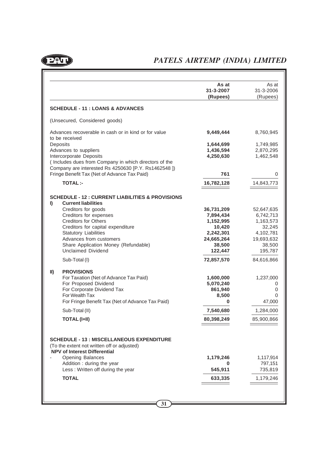

|               |                                                                                                                                          | As at<br>31-3-2007<br>(Rupees) | As at<br>31-3-2006<br>(Rupees) |
|---------------|------------------------------------------------------------------------------------------------------------------------------------------|--------------------------------|--------------------------------|
|               | <b>SCHEDULE - 11 : LOANS &amp; ADVANCES</b>                                                                                              |                                |                                |
|               | (Unsecured, Considered goods)                                                                                                            |                                |                                |
|               | Advances recoverable in cash or in kind or for value<br>to be received                                                                   | 9,449,444                      | 8,760,945                      |
| Deposits      |                                                                                                                                          | 1,644,699                      | 1,749,985                      |
|               | Advances to suppliers                                                                                                                    | 1,436,594                      | 2,870,295                      |
|               | Intercorporate Deposits<br>(Includes dues from Company in which directors of the<br>Company are interested Rs 4250630 [P.Y. Rs1462548 ]) | 4,250,630                      | 1,462,548                      |
|               | Fringe Benefit Tax (Net of Advance Tax Paid)                                                                                             | 761                            | 0                              |
|               | <b>TOTAL:-</b>                                                                                                                           | 16,782,128                     | 14,843,773                     |
| I)            | <b>SCHEDULE - 12 : CURRENT LIABILITIES &amp; PROVISIONS</b><br><b>Current liabilities</b>                                                |                                |                                |
|               | Creditors for goods                                                                                                                      | 36,731,209                     | 52,647,635                     |
|               | Creditors for expenses                                                                                                                   | 7,894,434                      | 6,742,713                      |
|               | <b>Creditors for Others</b>                                                                                                              | 1,152,995                      | 1,163,573                      |
|               | Creditors for capital expenditure<br><b>Statutory Liabilities</b>                                                                        | 10,420<br>2,242,301            | 32,245<br>4,102,781            |
|               | Advances from customers                                                                                                                  | 24,665,264                     | 19,693,632                     |
|               | Share Application Money (Refundable)                                                                                                     | 38,500                         | 38,500                         |
|               | <b>Unclaimed Dividend</b>                                                                                                                | 122,447                        | 195,787                        |
|               | Sub-Total (I)                                                                                                                            | 72,857,570                     | 84,616,866                     |
| $\mathbf{II}$ | <b>PROVISIONS</b>                                                                                                                        |                                |                                |
|               | For Taxation (Net of Advance Tax Paid)                                                                                                   | 1,600,000                      | 1,237,000                      |
|               | For Proposed Dividend                                                                                                                    | 5,070,240                      | 0                              |
|               | For Corporate Dividend Tax<br>For Wealth Tax                                                                                             | 861,940                        | 0                              |
|               | For Fringe Benefit Tax (Net of Advance Tax Paid)                                                                                         | 8,500<br>0                     | 0<br>47,000                    |
|               | Sub-Total (II)                                                                                                                           | 7,540,680                      | 1,284,000                      |
|               | <b>TOTAL (I+II)</b>                                                                                                                      |                                |                                |
|               |                                                                                                                                          | 80,398,249                     | 85,900,866                     |
|               | <b>SCHEDULE - 13 : MISCELLANEOUS EXPENDITURE</b><br>(To the extent not written off or adjusted)<br><b>NPV of Interest Differential</b>   |                                |                                |
|               | <b>Opening Balances</b>                                                                                                                  | 1,179,246                      | 1,117,914                      |
|               | Addition : during the year                                                                                                               | 0                              | 797,151                        |
|               | Less: Written off during the year                                                                                                        | 545,911                        | 735,819                        |
|               | <b>TOTAL</b>                                                                                                                             | 633,335                        | 1,179,246                      |
|               |                                                                                                                                          |                                |                                |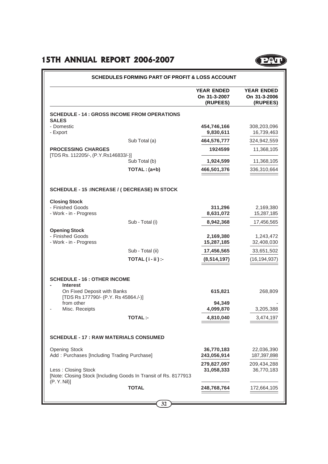|                                                                                        | <b>YEAR ENDED</b><br>On 31-3-2007<br>(RUPEES) | <b>YEAR ENDED</b><br>On 31-3-2006<br>(RUPEES) |
|----------------------------------------------------------------------------------------|-----------------------------------------------|-----------------------------------------------|
| <b>SCHEDULE - 14 : GROSS INCOME FROM OPERATIONS</b><br><b>SALES</b>                    |                                               |                                               |
| - Domestic<br>- Export                                                                 | 454,746,166<br>9,830,611                      | 308,203,096<br>16,739,463                     |
| Sub Total (a)                                                                          | 464,576,777                                   | 324,942,559                                   |
| <b>PROCESSING CHARGES</b><br>[TDS Rs. 112205/-, (P.Y.Rs146833/-)]                      | 1924599                                       | 11,368,105                                    |
| Sub Total (b)                                                                          | 1,924,599                                     | 11,368,105                                    |
| TOTAL: (a+b)                                                                           | 466,501,376                                   | 336,310,664                                   |
| SCHEDULE - 15 : INCREASE / ( DECREASE) IN STOCK                                        |                                               |                                               |
| <b>Closing Stock</b><br>- Finished Goods                                               | 311,296                                       | 2,169,380                                     |
| - Work - in - Progress                                                                 | 8,631,072                                     | 15,287,185                                    |
| Sub - Total (i)                                                                        | 8,942,368                                     | 17,456,565                                    |
| <b>Opening Stock</b><br>- Finished Goods                                               |                                               |                                               |
| - Work - in - Progress                                                                 | 2,169,380<br>15,287,185                       | 1,243,472<br>32,408,030                       |
| Sub - Total (ii)                                                                       | 17,456,565                                    | 33,651,502                                    |
| TOTAL (i-ii) :-                                                                        | (8, 514, 197)                                 | (16, 194, 937)                                |
| <b>SCHEDULE - 16 : OTHER INCOME</b>                                                    |                                               |                                               |
| <b>Interest</b><br>On Fixed Deposit with Banks<br>[TDS Rs 177790/- (P.Y. Rs 45864./-)] | 615,821                                       | 268,809                                       |
| from other<br>Misc. Receipts                                                           | 94,349<br>4,099,870                           | 3,205,388                                     |
| TOTAL :-                                                                               | 4,810,040                                     | 3,474,197                                     |
| <b>SCHEDULE - 17 : RAW MATERIALS CONSUMED</b>                                          |                                               |                                               |
| <b>Opening Stock</b><br>Add: Purchases [Including Trading Purchase]                    | 36,770,183<br>243,056,914                     | 22,036,390<br>187,397,898                     |
| Less: Closing Stock<br>[Note: Closing Stock [Including Goods In Transit of Rs. 8177913 | 279,827,097<br>31,058,333                     | 209,434,288<br>36,770,183                     |
| (P. Y. Nil)                                                                            |                                               |                                               |
| <b>TOTAL</b>                                                                           | 248,768,764                                   | 172,664,105                                   |

**PAT**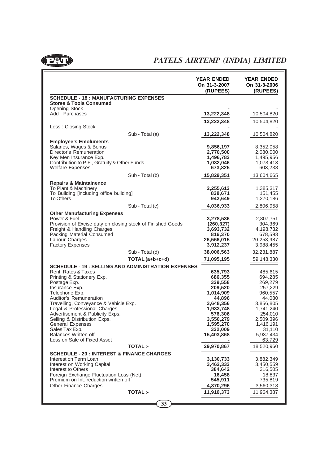

## *PATELS AIRTEMP (INDIA) LIMITED*

|                                                                                     |                 | <b>YEAR ENDED</b><br>On 31-3-2007<br>(RUPEES) | <b>YEAR ENDED</b><br>On 31-3-2006<br>(RUPEES) |
|-------------------------------------------------------------------------------------|-----------------|-----------------------------------------------|-----------------------------------------------|
| <b>SCHEDULE - 18 : MANUFACTURING EXPENSES</b><br><b>Stores &amp; Tools Consumed</b> |                 |                                               |                                               |
| <b>Opening Stock</b><br>Add: Purchases                                              |                 | 13,222,348                                    | 10,504,820                                    |
|                                                                                     |                 | 13,222,348                                    | 10,504,820                                    |
| Less: Closing Stock                                                                 |                 |                                               |                                               |
|                                                                                     | Sub - Total (a) | 13,222,348                                    | 10,504,820                                    |
| <b>Employee's Emoluments</b>                                                        |                 |                                               |                                               |
| Salaries, Wages & Bonus<br>Director's Remuneration                                  |                 | 9,856,197<br>2,770,500                        | 8,352,058<br>2,080,000                        |
| Key Men Insurance Exp.                                                              |                 | 1,496,783                                     | 1,495,956                                     |
| Contribution to P.F., Gratuity & Other Funds<br><b>Welfare Expenses</b>             |                 | 1,032,046<br>673,825                          | 1,073,413<br>603,238                          |
|                                                                                     | Sub - Total (b) | 15,829,351                                    | 13,604,665                                    |
| <b>Repairs &amp; Maintainence</b>                                                   |                 |                                               |                                               |
| To Plant & Machinery                                                                |                 | 2,255,613                                     | 1,385,317                                     |
| To Building [including office building]<br><b>To Others</b>                         |                 | 838,671<br>942,649                            | 151,455<br>1,270,186                          |
|                                                                                     | Sub - Total (c) | 4,036,933                                     | 2,806,958                                     |
| <b>Other Manufacturing Expenses</b>                                                 |                 |                                               |                                               |
| Power & Fuel<br>Provision of Excise duty on closing stock of Finished Goods         |                 | 3,278,536<br>(260, 327)                       | 2,807,751<br>304,369                          |
| Freight & Handling Charges                                                          |                 | 3,693,732                                     | 4,198,732                                     |
| Packing Material Consumed                                                           |                 | 816,370                                       | 678,593                                       |
| Labour Charges<br><b>Factory Expenses</b>                                           |                 | 26,566,015<br>3,912,237                       | 20,253,987<br>3,988,455                       |
|                                                                                     | Sub - Total (d) | 38,006,563                                    | 32,231,887                                    |
|                                                                                     | TOTAL (a+b+c+d) | 71,095,195                                    | 59,148,330                                    |
| <b>SCHEDULE - 19 : SELLING AND ADMINISTRATION EXPENSES</b>                          |                 |                                               |                                               |
| Rent, Rates & Taxes                                                                 |                 | 635,793                                       | 485,615                                       |
| Printing & Stationery Exp.<br>Postage Exp.                                          |                 | 686,355<br>339,558                            | 694,285<br>269,279                            |
| Insurance Exp.                                                                      |                 | 209,520                                       | 257,229                                       |
| Telephone Exp.                                                                      |                 | 1,014,909                                     | 960,557                                       |
| Auditor's Remuneration                                                              |                 | 44,896                                        | 44,080                                        |
| Travelling, Conveyance & Vehicle Exp.<br>Legal & Professional Charges               |                 | 3,648,356<br>1,933,748                        | 3,856,805<br>1,741,240                        |
| Advertisement & Publicity Exps.                                                     |                 | 576,306                                       | 254,010                                       |
| Selling & Distribution Exps.                                                        |                 | 3,550,279                                     | 2,509,396                                     |
| <b>General Expenses</b><br>Sales Tax Exp.                                           |                 | 1,595,270                                     | 1,416,191                                     |
| <b>Balances Written off</b>                                                         |                 | 332,009<br>15,403,868                         | 31,110<br>5,937,434                           |
| Loss on Sale of Fixed Asset                                                         |                 |                                               | 63,729                                        |
|                                                                                     | <b>TOTAL:-</b>  | 29,970,867                                    | 18,520,960                                    |
| <b>SCHEDULE - 20 : INTEREST &amp; FINANCE CHARGES</b>                               |                 |                                               |                                               |
| Interest on Term Loan<br>Interest on Working Capital                                |                 | 3,130,733<br>3,462,333                        | 3,882,349<br>3,450,559                        |
| Interest to Others                                                                  |                 | 384,642                                       | 316,505                                       |
| Foreign Exchange Fluctuation Loss (Net)                                             |                 | 16,458                                        | 18,837                                        |
| Premium on Int. reduction written off                                               |                 | 545,911                                       | 735,819                                       |
| Other Finance Charges                                                               |                 | 4,370,296                                     | 3,560,318                                     |
|                                                                                     | <b>TOTAL:-</b>  | 11,910,373                                    | 11,964,387                                    |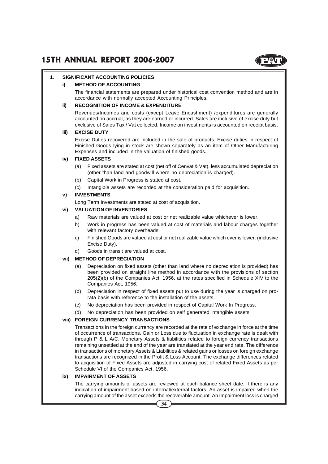

#### **1. SIGNIFICANT ACCOUNTING POLICIES**

#### **i) METHOD OF ACCOUNTING**

The financial statements are prepared under historical cost convention method and are in accordance with normally accepted Accounting Principles.

#### **ii) RECOGNITION OF INCOME & EXPENDITURE**

Revenues/Incomes and costs (except Leave Encashment) /expenditures are generally accounted on accrual, as they are earned or incurred. Sales are inclusive of excise duty but exclusive of Sales Tax / Vat collected. Income on investments is accounted on receipt basis.

#### **iii) EXCISE DUTY**

Excise Duties recovered are included in the sale of products. Excise duties in respect of Finished Goods lying in stock are shown separately as an item of Other Manufacturing Expenses and included in the valuation of finished goods.

#### **iv) FIXED ASSETS**

- (a) Fixed assets are stated at cost (net off of Cenvat & Vat), less accumulated depreciation (other than land and goodwill where no depreciation is charged).
- (b) Capital Work in Progress is stated at cost.
- (c) Intangible assets are recorded at the consideration paid for acquisition.

#### **v) INVESTMENTS**

Long Term Investments are stated at cost of acquisition.

#### **vi) VALUATION OF INVENTORIES**

- a) Raw materials are valued at cost or net realizable value whichever is lower.
- b) Work in progress has been valued at cost of materials and labour charges together with relevant factory overheads.
- c) Finished Goods are valued at cost or net realizable value which ever is lower. (inclusive Excise Duty).
- d) Goods in transit are valued at cost.

#### **vii) METHOD OF DEPRECIATION**

- (a) Depreciation on fixed assets (other than land where no depreciation is provided) has been provided on straight line method in accordance with the provisions of section 205(2)(b) of the Companies Act, 1956, at the rates specified in Schedule XIV to the Companies Act, 1956.
- (b) Depreciation in respect of fixed assets put to use during the year is charged on prorata basis with reference to the installation of the assets.
- (c) No depreciation has been provided in respect of Capital Work In Progress.
- (d) No depreciation has been provided on self generated intangible assets.

#### **viii) FOREIGN CURRENCY TRANSACTIONS**

Transactions in the foreign currency are recorded at the rate of exchange in force at the time of occurrence of transactions. Gain or Loss due to fluctuation in exchange rate is dealt with through P & L A/C. Monetary Assets & liabilities related to foreign currency transactions remaining unsettled at the end of the year are translated at the year end rate. The difference in transactions of monetary Assets & Liabilities & related gains or losses on foreign exchange transactions are recognized in the Profit & Loss Account. The exchange differences related to acquisition of Fixed Assets are adjusted in carrying cost of related Fixed Assets as per Schedule VI of the Companies Act, 1956.

#### **ix) IMPAIRMENT OF ASSETS**

The carrying amounts of assets are reviewed at each balance sheet date, if there is any indication of impairment based on internal/external factors. An asset is impaired when the carrying amount of the asset exceeds the recoverable amount. An Impairment loss is charged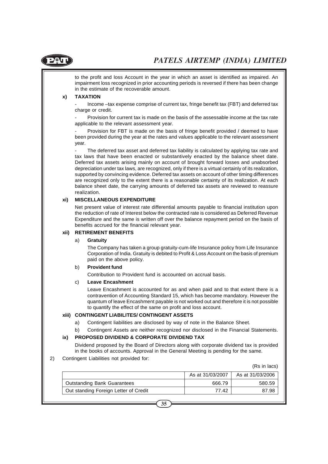

to the profit and loss Account in the year in which an asset is identified as impaired. An impairment loss recognized in prior accounting periods is reversed if there has been change in the estimate of the recoverable amount.

#### **x) TAXATION**

Income –tax expense comprise of current tax, fringe benefit tax (FBT) and deferred tax charge or credit.

Provision for current tax is made on the basis of the assessable income at the tax rate applicable to the relevant assessment year.

Provision for FBT is made on the basis of fringe benefit provided / deemed to have been provided during the year at the rates and values applicable to the relevant assessment year.

The deferred tax asset and deferred tax liability is calculated by applying tax rate and tax laws that have been enacted or substantively enacted by the balance sheet date. Deferred tax assets arising mainly on account of brought forward losses and unabsorbed depreciation under tax laws, are recognized, only if there is a virtual certainly of its realization, supported by convincing evidence. Deferred tax assets on account of other timing differences are recognized only to the extent there is a reasonable certainty of its realization. At each balance sheet date, the carrying amounts of deferred tax assets are reviewed to reassure realization.

#### **xi) MISCELLANEOUS EXPENDITURE**

Net present value of interest rate differential amounts payable to financial institution upon the reduction of rate of Interest below the contracted rate is considered as Deferred Revenue Expenditure and the same is written off over the balance repayment period on the basis of benefits accrued for the financial relevant year.

#### **xii) RETIREMENT BENEFITS**

#### a) **Gratuity**

The Company has taken a group gratuity-cum-life Insurance policy from Life Insurance Corporation of India. Gratuity is debited to Profit & Loss Account on the basis of premium paid on the above policy.

#### b) **Provident fund**

Contribution to Provident fund is accounted on accrual basis.

#### c) **Leave Encashment**

Leave Encashment is accounted for as and when paid and to that extent there is a contravention of Accounting Standard 15, which has become mandatory. However the quantum of leave Encashment payable is not worked out and therefore it is not possible to quantify the effect of the same on profit and loss account.

#### **xiii) CONTINGENT LIABILITES/ CONTINGENT ASSETS**

- a) Contingent liabilities are disclosed by way of note in the Balance Sheet.
- b) Contingent Assets are neither recognized nor disclosed in the Financial Statements.

#### **ix) PROPOSED DIVIDEND & CORPORATE DIVIDEND TAX**

Dividend proposed by the Board of Directors along with corporate dividend tax is provided in the books of accounts. Approval in the General Meeting is pending for the same.

#### 2) Contingent Liabilities not provided for:

(Rs in lacs)

|                                       | As at 31/03/2007 | As at 31/03/2006 |
|---------------------------------------|------------------|------------------|
| <b>Outstanding Bank Guarantees</b>    | 666.79           | 580.59           |
| Out standing Foreign Letter of Credit | 77.42            | 87.98            |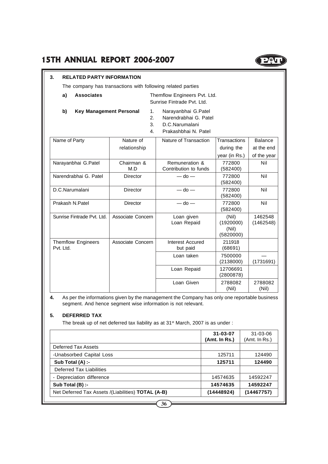#### **3. RELATED PARTY INFORMATION**

The company has transactions with following related parties

- **a) Associates** Themflow Engineers Pvt. Ltd. Sunrise Fintrade Pvt. Ltd.
- **b)** Key Management Personal 1. Narayanbhai G.Patel
	-
	- 2. Narendrabhai G. Patel
	- 3. D.C.Narumalani
	- 4. Prakashbhai N. Patel

| Name of Party                          | Nature of         | Nature of Transaction                   | Transactions                             | <b>Balance</b>       |
|----------------------------------------|-------------------|-----------------------------------------|------------------------------------------|----------------------|
|                                        | relationship      |                                         | during the                               | at the end           |
|                                        |                   |                                         | year (in Rs.)                            | of the year          |
| Narayanbhai G.Patel                    | Chairman &<br>M.D | Remuneration &<br>Contribution to funds | 772800<br>(582400)                       | Nil                  |
| Narendrabhai G. Patel                  | <b>Director</b>   | $-$ do $-$                              | 772800<br>(582400)                       | Nil                  |
| D.C.Narumalani                         | Director          | $-$ do $-$                              | 772800<br>(582400)                       | Nil                  |
| Prakash N.Patel                        | Director          | $-$ do $-$                              | 772800<br>(582400)                       | Nil                  |
| Sunrise Fintrade Pvt. Ltd.             | Associate Concern | Loan given<br>Loan Repaid               | (Nil)<br>(1920000)<br>(Nil)<br>(5820000) | 1462548<br>(1462548) |
| <b>Themflow Engineers</b><br>Pvt. Ltd. | Associate Concern | Interest Accured<br>but paid            | 211918<br>(68691)                        |                      |
|                                        |                   | Loan taken                              | 7500000<br>(2138000)                     | (1731691)            |
|                                        |                   | Loan Repaid                             | 12706691<br>(2800878)                    |                      |
|                                        |                   | Loan Given                              | 2788082<br>(Nil)                         | 2788082<br>(Nil)     |

**4.** As per the informations given by the management the Company has only one reportable business segment. And hence segment wise information is not relevant.

### **5. DEFERRED TAX**

The break up of net deferred tax liability as at 31<sup>st</sup> March, 2007 is as under :

|                                                           | $31 - 03 - 07$<br>(Amt. In Rs.) | $31 - 03 - 06$<br>(Amt. In Rs.) |
|-----------------------------------------------------------|---------------------------------|---------------------------------|
| Deferred Tax Assets                                       |                                 |                                 |
| -Unabsorbed Capital Loss                                  | 125711                          | 124490                          |
| Sub Total (A) :-                                          | 125711                          | 124490                          |
| Deferred Tax Liabilities                                  |                                 |                                 |
| - Depreciation difference                                 | 14574635                        | 14592247                        |
| Sub Total (B) :-                                          | 14574635                        | 14592247                        |
| Net Deferred Tax Assets /(Liabilities) <b>TOTAL (A-B)</b> | (14448924)                      | (14467757)                      |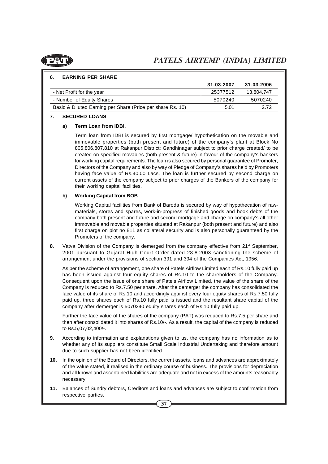

#### **6. EARNING PER SHARE**

|                                                            | 31-03-2007 | 31-03-2006 |
|------------------------------------------------------------|------------|------------|
| - Net Profit for the year                                  | 25377512   | 13.804.747 |
| - Number of Equity Shares                                  | 5070240    | 5070240    |
| Basic & Diluted Earning per Share (Price per share Rs. 10) | 5.01       | 2 72       |

#### **7. SECURED LOANS**

#### **a) Term Loan from IDBI.**

Term loan from IDBI is secured by first mortgage/ hypothetication on the movable and immovable properties (both present and future) of the company's plant at Block No 805,806,807,810 at Rakanpur District: Gandhinagar subject to prior charge created/ to be created on specified movables (both present & future) in favour of the company's bankers for working capital requirements. The loan is also secured by personal guarantee of Promoter, Directors of the Company and also by way of Pledge of Company's shares held by Promoters having face value of Rs.40.00 Lacs. The loan is further secured by second charge on current assets of the company subject to prior charges of the Bankers of the company for their working capital facilities.

#### **b) Working Capital from BOB**

Working Capital facilities from Bank of Baroda is secured by way of hypothecation of rawmaterials, stores and spares, work-in-progress of finished goods and book debts of the company both present and future and second mortgage and charge on company's all other immovable and movable properties situated at Rakanpur (both present and future) and also first charge on plot no 811 as collateral security and is also personally guaranteed by the Promoters of the company.

**8.** Vatva Division of the Company is demerged from the company effective from 21<sup>st</sup> September, 2001 pursuant to Gujarat High Court Order dated 28.8.2003 sanctioning the scheme of arrangement under the provisions of section 391 and 394 of the Companies Act, 1956.

As per the scheme of arrangement, one share of Patels Airflow Limited each of Rs.10 fully paid up has been issued against four equity shares of Rs.10 to the shareholders of the Company. Consequent upon the issue of one share of Patels Airflow Limited, the value of the share of the Company is reduced to Rs.7.50 per share. After the demerger the company has consolidated the face value of its share of Rs.10 and accordingly against every four equity shares of Rs.7.50 fully paid up, three shares each of Rs.10 fully paid is issued and the resultant share capital of the company after demerger is 5070240 equity shares each of Rs.10 fully paid up.

Further the face value of the shares of the company (PAT) was reduced to Rs.7.5 per share and then after consolidated it into shares of Rs.10/-. As a result, the capital of the company is reduced to Rs.5,07,02,400/-.

- **9.** According to information and explanations given to us, the company has no information as to whether any of its suppliers constitute Small Scale Industrial Undertaking and therefore amount due to such supplier has not been identified.
- **10.** In the opinion of the Board of Directors, the current assets, loans and advances are approximately of the value stated, if realised in the ordinary course of business. The provisions for depreciation and all known and ascertained liabilities are adequate and not in excess of the amounts reasonably necessary.
- **11.** Balances of Sundry debtors, Creditors and loans and advances are subject to confirmation from respective parties.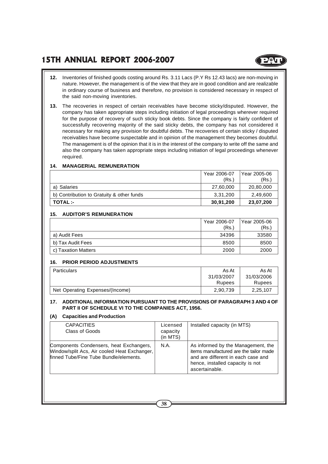- **12.** Inventories of finished goods costing around Rs. 3.11 Lacs (P.Y Rs 12.43 lacs) are non-moving in nature. However, the management is of the view that they are in good condition and are realizable in ordinary course of business and therefore, no provision is considered necessary in respect of the said non-moving inventories.
- **13.** The recoveries in respect of certain receivables have become sticky/disputed. However, the company has taken appropriate steps including initiation of legal proceedings wherever required for the purpose of recovery of such sticky book debts. Since the company is fairly confident of successfully recovering majority of the said sticky debts, the company has not considered it necessary for making any provision for doubtful debts. The recoveries of certain sticky / disputed receivables have become suspectable and in opinion of the management they becomes doubtful. The management is of the opinion that it is in the interest of the company to write off the same and also the company has taken appropriate steps including initiation of legal proceedings whenever required.

#### **14. MANAGERIAL REMUNERATION**

|                                           | Year 2006-07 | Year 2005-06 |
|-------------------------------------------|--------------|--------------|
|                                           | (Rs.)        | (Rs.)        |
| a) Salaries                               | 27.60.000    | 20,80,000    |
| b) Contribution to Gratuity & other funds | 3.31.200     | 2,49,600     |
| <b>TOTAL:-</b>                            | 30,91,200    | 23,07,200    |

#### **15. AUDITOR'S REMUNERATION**

|                     | Year 2006-07 | Year 2005-06 |
|---------------------|--------------|--------------|
|                     | (Rs.)        | (Rs.)        |
| a) Audit Fees       | 34396        | 33580        |
| b) Tax Audit Fees   | 8500         | 8500         |
| c) Taxation Matters | 2000         | 2000         |

#### **16. PRIOR PERIOD ADJUSTMENTS**

| Particulars                     | As At      | As At      |
|---------------------------------|------------|------------|
|                                 | 31/03/2007 | 31/03/2006 |
|                                 | Rupees     | Rupees     |
| Net Operating Expenses/(Income) | 2,90,739   | 2,25,107   |

#### **17. ADDITIONAL INFORMATION PURSUANT TO THE PROVISIONS OF PARAGRAPH 3 AND 4 OF PART II OF SCHEDULE VI TO THE COMPANIES ACT, 1956.**

#### **(A) Capacities and Production**

| <b>CAPACITIES</b><br>Class of Goods                                                                                               | Licensed<br>capacity<br>(in MTS) | Installed capacity (in MTS)                                                                                                                                              |
|-----------------------------------------------------------------------------------------------------------------------------------|----------------------------------|--------------------------------------------------------------------------------------------------------------------------------------------------------------------------|
| Components Condensers, heat Exchangers,<br>Window/split Acs, Air cooled Heat Exchanger,<br>finned Tube/Fine Tube Bundle/elements. | N.A.                             | As informed by the Management, the<br>items manufactured are the tailor made<br>and are different in each case and<br>hence, installed capacity is not<br>ascertainable. |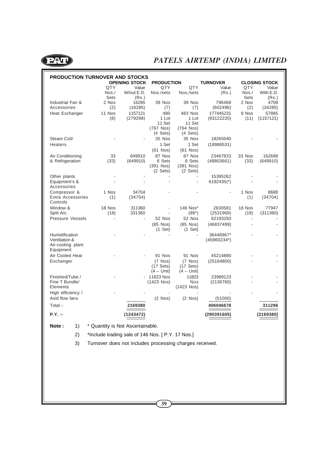

| <b>PRODUCTION TURNOVER AND STOCKS</b> |               |                      |                    |                    |                       |              |                      |
|---------------------------------------|---------------|----------------------|--------------------|--------------------|-----------------------|--------------|----------------------|
|                                       |               | <b>OPENING STOCK</b> | <b>PRODUCTION</b>  |                    | <b>TURNOVER</b>       |              | <b>CLOSING STOCK</b> |
|                                       | QTY           | Value                | QTY                | QTY                | Value                 | QTY          | Value                |
|                                       | $N$ os. $/$   | W/out E.D.           | Nos./sets          | Nos./sets          | (Rs.)                 | $N$ os. $/$  | With E.D.            |
|                                       | Sets          | (Rs.)                |                    |                    |                       | Sets         | (Rs.)                |
| Industrial Fan &<br>Accessories       | 2 Nos         | 16285                | 39 Nos             | 39 Nos             | 796468                | 2 Nos        | 4708                 |
|                                       | (2)<br>11 Nos | (16285)<br>1157121   | (7)<br>480         | (7)<br>483 Nos     | (602496)<br>177445231 | (2)<br>8 Nos | (16285)<br>57885     |
| Heat Exchanger                        | (8)           | (279298)             | 1 Lot              | 1 Lot              | (93122220)            | (11)         | (1157121)            |
|                                       |               |                      | 11 Set             | 11 Set             |                       |              |                      |
|                                       |               |                      | (767 Nos)          | (764 Nos)          |                       |              |                      |
|                                       |               |                      | $(4 \text{ Sets})$ | $(4 \text{ Sets})$ |                       |              |                      |
| Steam Coil/                           |               |                      | 35 Nos             | 35 Nos             | 18265040              |              |                      |
| Heaters                               |               |                      | 1 Set              | 1 Set              | (18988531)            |              |                      |
|                                       |               |                      | $(61$ Nos $)$      | $(61$ Nos)         |                       |              |                      |
| Air Conditioning                      | 33            | 649910               | 87 Nos             | 87 Nos             | 23467833              | 33 Nos       | 162698               |
| & Refrigeration                       | (33)          | (649910)             | 6 Sets             | 6 Sets             | (48803661)            | (33)         | (649910)             |
|                                       |               |                      | (391 Nos)          | $(391$ Nos)        |                       |              |                      |
|                                       |               |                      | $(2 \text{ Sets})$ | $(2 \text{ Sets})$ |                       |              |                      |
| Other plants                          |               |                      |                    |                    | 15395262              |              |                      |
| Equipment's &<br>Accessories          |               |                      |                    |                    | 6192435(*)            |              |                      |
| Compressor &                          | 1 Nos         | 34704                |                    |                    |                       | 1 Nos        | 8688                 |
| Extra Accessories                     | (1)           | (34704)              |                    |                    |                       | (1)          | (34704)              |
| Controls                              |               |                      |                    |                    |                       |              |                      |
| Window &                              | 18 Nos        | 311360               |                    | 146 Nos*           | 2830581               | 18 Nos       | 77947                |
| Split A/c.                            | (18)          | 331360               |                    | $(98^*)$           | (2531969)             | (18)         | (311360)             |
| <b>Pressure Vessels</b>               |               | $\blacksquare$       | 52 Nos             | 52 Nos             | 62193293              |              |                      |
|                                       |               |                      | $(85$ Nos)         | $(85$ Nos)         | (46837499)            |              |                      |
|                                       |               |                      | $(1$ Set)          | $(1$ Set)          |                       |              |                      |
| Humidification                        |               |                      |                    |                    | 36448967*             |              |                      |
| Ventilation &                         |               |                      |                    |                    | $(45960234^*)$        |              |                      |
| Air-cooling plant<br>Equipment        |               |                      |                    |                    |                       |              |                      |
| Air Cooled Heat                       |               |                      | 91 Nos             | 91 Nos             | 45214880              |              |                      |
| Exchanger                             |               |                      | $(7$ Nos $)$       | $(7$ Nos $)$       | (25164800)            |              |                      |
|                                       |               |                      | $(17$ Sets)        | $(17$ Sets)        |                       |              |                      |
|                                       |               |                      | $(4 - Unit)$       | $(4 - Unit)$       |                       |              |                      |
| Finished/Tube /                       |               |                      | 11823 Nos          | 11823              | 23989123              |              |                      |
| Fine T Bundle/                        |               |                      | (1423 Nos)         | Nos                | (2136760)             |              |                      |
| Elements                              |               |                      |                    | $(1423$ Nos)       |                       |              |                      |
| High efficiency /                     |               |                      |                    |                    |                       |              |                      |
| Axid flow fans                        |               |                      | $(2$ Nos $)$       | $(2$ Nos $)$       | (51000)               |              |                      |
| Total :-                              |               | 2169380              |                    |                    | 406046678             |              | 311296               |
| $P.Y.$ :                              |               | (1243472)            |                    |                    | (290391605)           |              | (2169380)            |

**Note :** 1) \* Quantity is Not Ascertainable.

2) \*Include trading sale of 146 Nos. [ P.Y. 17 Nos.]

3) Turnover does not includes processing charges received.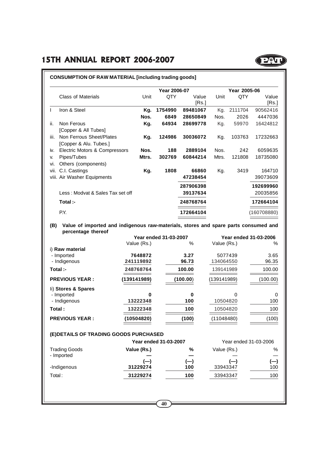|      |                                  |       | Year 2006-07 |           |       | Year 2005-06 |             |
|------|----------------------------------|-------|--------------|-----------|-------|--------------|-------------|
|      | <b>Class of Materials</b>        | Unit  | QTY          | Value     | Unit  | QTY          | Value       |
|      |                                  |       |              | [Rs.]     |       |              | [Rs.]       |
| Ι.   | Iron & Steel                     | Kg.   | 1754990      | 89481067  | Kg.   | 2111704      | 90562416    |
|      |                                  | Nos.  | 6849         | 28650849  | Nos.  | 2026         | 4447036     |
| ii.  | Non Ferous                       | Kg.   | 64934        | 28699778  | Kg.   | 59970        | 16424812    |
|      | [Copper & All Tubes]             |       |              |           |       |              |             |
| iii. | Non Ferrous Sheet/Plates         | Kg.   | 124986       | 30036072  | Kg.   | 103763       | 17232663    |
|      | [Copper & Alu. Tubes.]           |       |              |           |       |              |             |
| iv.  | Electric Motors & Compressors    | Nos.  | 188          | 2889104   | Nos.  | 242          | 6059635     |
| v.   | Pipes/Tubes                      | Mtrs. | 302769       | 60844214  | Mtrs. | 121808       | 18735080    |
| vi.  | Others (components)              |       |              |           |       |              |             |
| vii. | C.I. Castings                    | Kg.   | 1808         | 66860     | Kg.   | 3419         | 164710      |
|      | viii. Air Washer Equipments      |       |              | 47238454  |       |              | 39073609    |
|      |                                  |       |              | 287906398 |       |              | 192699960   |
|      | Less: Modvat & Sales Tax set off |       |              | 39137634  |       |              | 20035856    |
|      | Total :-                         |       |              | 248768764 |       |              | 172664104   |
|      | P.Y.                             |       |              | 172664104 |       |              | (160708880) |

**(B) Value of imported and indigenous raw-materials, stores and spare parts consumed and percentage thereof**

|                       |             | <b>Year ended 31-03-2007</b> |             | Year ended 31-03-2006 |
|-----------------------|-------------|------------------------------|-------------|-----------------------|
|                       | Value (Rs.) | $\%$                         | Value (Rs.) | %                     |
| i) Raw material       |             |                              |             |                       |
| - Imported            | 7648872     | 3.27                         | 5077439     | 3.65                  |
| - Indigenous          | 241119892   | 96.73                        | 134064550   | 96.35                 |
| Total :-              | 248768764   | 100.00                       | 139141989   | 100.00                |
| <b>PREVIOUS YEAR:</b> | (139141989) | (100.00)                     | (139141989) | (100.00)              |
| li) Stores & Spares   |             |                              |             |                       |
| - Imported            | $\bf{0}$    | 0                            | $\Omega$    | $\Omega$              |
| - Indigenous          | 13222348    | 100                          | 10504820    | 100                   |
| Total:                | 13222348    | 100                          | 10504820    | 100                   |
| <b>PREVIOUS YEAR:</b> | (10504820)  | (100)                        | (11048480)  | (100)                 |

#### **(E)DETAILS OF TRADING GOODS PURCHASED**

|                      | <b>Year ended 31-03-2007</b> |                                               | Year ended 31-03-2006 |       |  |
|----------------------|------------------------------|-----------------------------------------------|-----------------------|-------|--|
| <b>Trading Goods</b> | Value (Rs.)                  | %                                             | Value (Rs.)           | %     |  |
| - Imported           |                              |                                               |                       | —     |  |
|                      | $\left( \equiv\right)$       | $\left( \begin{matrix} -\end{matrix} \right)$ | $(-)$                 | $(-)$ |  |
| -Indigenous          | 31229274                     | 100                                           | 33943347              | 100   |  |
| Total:               | 31229274                     | 100                                           | 33943347              | 100   |  |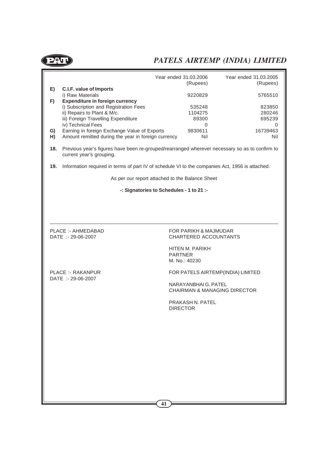



| Year ended 31.03.2005                                                                              |
|----------------------------------------------------------------------------------------------------|
| (Rupees)                                                                                           |
| 5765510                                                                                            |
|                                                                                                    |
| 823850                                                                                             |
| 280246                                                                                             |
| 695239                                                                                             |
| 0                                                                                                  |
| 16739463                                                                                           |
| Nil                                                                                                |
| 18. Previous year's figures have been re-grouped/rearranged wherever pecessary so as to confirm to |
|                                                                                                    |

**ires have been re-grouped/rearranged wherever necessary so as to confirm** current year's grouping.

**19.** Information required in terms of part IV of schedule VI to the companies Act, 1956 is attached.

As per our report attached to the Balance Sheet

**-: Signatories to Schedules - 1 to 21 :-**

PLACE :- AHMEDABAD FOR PARIKH & MAJMUDAR DATE :- 29-06-2007 CHARTERED ACCOUNTANTS

> HITEN M. PARIKH PARTNER M. No.: 40230

DATE :- 29-06-2007

PLACE :- RAKANPUR FOR PATELS AIRTEMP(INDIA) LIMITED

NARAYANBHAI G. PATEL CHAIRMAN & MANAGING DIRECTOR

PRAKASH N. PATEL DIRECTOR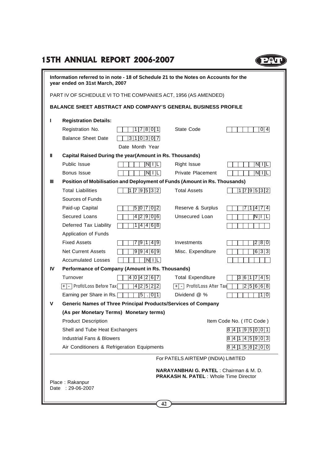### **15TH ANNUAL REPORT 2006-2007**

|    | Information referred to in note - 18 of Schedule 21 to the Notes on Accounts for the<br>year ended on 31st March, 2007 |                 |                                                   |                                    |  |  |
|----|------------------------------------------------------------------------------------------------------------------------|-----------------|---------------------------------------------------|------------------------------------|--|--|
|    | PART IV OF SCHEDULE VI TO THE COMPANIES ACT, 1956 (AS AMENDED)                                                         |                 |                                                   |                                    |  |  |
|    | <b>BALANCE SHEET ABSTRACT AND COMPANY'S GENERAL BUSINESS PROFILE</b>                                                   |                 |                                                   |                                    |  |  |
| п  | <b>Registration Details:</b>                                                                                           |                 |                                                   |                                    |  |  |
|    | Registration No.                                                                                                       | 1 7 8 0 1       | State Code                                        | 0 4                                |  |  |
|    | <b>Balance Sheet Date</b>                                                                                              | 3 1 0 3 0 7     |                                                   |                                    |  |  |
|    |                                                                                                                        | Date Month Year |                                                   |                                    |  |  |
| Ш  | Capital Raised During the year(Amount in Rs. Thousands)                                                                |                 |                                                   |                                    |  |  |
|    | Public Issue                                                                                                           | $N$ $ I $ $L$   | Right Issue                                       | $N$ $  L$                          |  |  |
|    | Bonus Issue                                                                                                            | $N\prod L$      | <b>Private Placement</b>                          | N  L                               |  |  |
| Ш  | Position of Mobilisation and Deployment of Funds (Amount in Rs. Thousands)                                             |                 |                                                   |                                    |  |  |
|    | <b>Total Liabilities</b>                                                                                               | 179532          | <b>Total Assets</b>                               | 179532                             |  |  |
|    | Sources of Funds                                                                                                       |                 |                                                   |                                    |  |  |
|    | Paid-up Capital                                                                                                        | 5 0 7 0 2       | Reserve & Surplus                                 | 4 7 4                              |  |  |
|    | Secured Loans                                                                                                          | 4  2  9  0  6   | Unsecured Loan                                    | $\mathbb{N} \mathbb{L} \mathbb{L}$ |  |  |
|    | Deferred Tax Liability                                                                                                 | 1 4 4 6 8       |                                                   |                                    |  |  |
|    | Application of Funds                                                                                                   |                 |                                                   |                                    |  |  |
|    | <b>Fixed Assets</b>                                                                                                    | 7  9  1  4  9   | Investments                                       | 2 8 0                              |  |  |
|    | <b>Net Current Assets</b>                                                                                              | 9 9 4 6 9       | Misc. Expenditure                                 | 6 3 3                              |  |  |
|    | <b>Accumulated Losses</b>                                                                                              | N  L            |                                                   |                                    |  |  |
| IV | Performance of Company (Amount in Rs. Thousands)                                                                       |                 |                                                   |                                    |  |  |
|    | Turnover                                                                                                               | 404267          | <b>Total Expenditure</b>                          | 3 6 1<br>7 4 5                     |  |  |
|    | [+] -   Profit/Loss Before Tax[                                                                                        | 4 2 5 2 2       | + - Profit/Loss After Tax                         | 2 5 6 6 8                          |  |  |
|    | Earning per Share in Rs.                                                                                               | $5$ . 01        | Dividend @ %                                      | 1 0                                |  |  |
| v  | Generic Names of Three Principal Products/Services of Company                                                          |                 |                                                   |                                    |  |  |
|    | (As per Monetary Terms) Monetary terms)                                                                                |                 |                                                   |                                    |  |  |
|    | <b>Product Description</b>                                                                                             |                 |                                                   | Item Code No. (ITC Code)           |  |  |
|    | Shell and Tube Heat Exchangers                                                                                         |                 |                                                   | 8 4 1 9 5 0 0 1                    |  |  |
|    | <b>Industrial Fans &amp; Blowers</b>                                                                                   |                 |                                                   | 8 4 1 4 5 9 0 3                    |  |  |
|    | Air Conditioners & Refrigeration Equipments                                                                            |                 |                                                   | 8 4 1 5 8 2 0 0                    |  |  |
|    |                                                                                                                        |                 | For PATELS AIRTEMP (INDIA) LIMITED                |                                    |  |  |
|    |                                                                                                                        |                 | <b>NARAYANBHAI G. PATEL: Chairman &amp; M. D.</b> |                                    |  |  |
|    |                                                                                                                        |                 | <b>PRAKASH N. PATEL: Whole Time Director</b>      |                                    |  |  |
|    | Place: Rakanpur<br>Date: 29-06-2007                                                                                    |                 |                                                   |                                    |  |  |
|    |                                                                                                                        |                 |                                                   |                                    |  |  |
|    |                                                                                                                        |                 |                                                   |                                    |  |  |

POU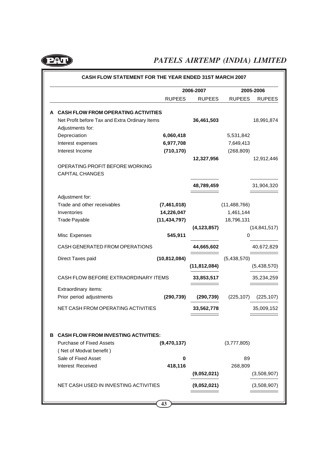

|                                                |                | 2006-2007      |                | 2005-2006      |
|------------------------------------------------|----------------|----------------|----------------|----------------|
|                                                | <b>RUPEES</b>  | <b>RUPEES</b>  | <b>RUPEES</b>  | <b>RUPEES</b>  |
| A CASH FLOW FROM OPERATING ACTIVITIES          |                |                |                |                |
| Net Profit before Tax and Extra Ordinary Items |                | 36,461,503     |                | 18,991,874     |
| Adjustments for:                               |                |                |                |                |
| Depreciation                                   | 6,060,418      |                | 5,531,842      |                |
| Interest expenses                              | 6,977,708      |                | 7,649,413      |                |
| Interest Income                                | (710, 170)     |                | (268, 809)     |                |
|                                                |                | 12,327,956     |                | 12,912,446     |
| OPERATING PROFIT BEFORE WORKING                |                |                |                |                |
| <b>CAPITAL CHANGES</b>                         |                |                |                |                |
|                                                |                | 48,789,459     |                | 31,904,320     |
| Adjustment for:                                |                |                |                |                |
| Trade and other receivables                    | (7,461,018)    |                | (11, 488, 766) |                |
| Inventories                                    | 14,226,047     |                | 1,461,144      |                |
| <b>Trade Payable</b>                           | (11, 434, 797) |                | 18,796,131     |                |
|                                                |                | (4, 123, 857)  |                | (14, 841, 517) |
| Misc Expenses                                  | 545,911        |                | 0              |                |
| CASH GENERATED FROM OPERATIONS                 |                | 44,665,602     |                | 40,672,829     |
| Direct Taxes paid                              | (10, 812, 084) |                | (5,438,570)    |                |
|                                                |                | (11, 812, 084) |                | (5,438,570)    |
| CASH FLOW BEFORE EXTRAORDINARY ITEMS           |                | 33,853,517     |                | 35,234,259     |
| Extraordinary items:                           |                |                |                |                |
| Prior period adjustments                       | (290, 739)     | (290, 739)     | (225, 107)     | (225, 107)     |
| NET CASH FROM OPERATING ACTIVITIES             |                | 33,562,778     |                | 35,009,152     |
|                                                |                |                |                |                |
| <b>B CASH FLOW FROM INVESTING ACTIVITIES:</b>  |                |                |                |                |
| <b>Purchase of Fixed Assets</b>                | (9,470,137)    |                | (3,777,805)    |                |
| (Net of Modvat benefit)                        |                |                |                |                |
| Sale of Fixed Asset                            | 0              |                | 89             |                |
| Interest Received                              | 418,116        |                | 268,809        |                |
|                                                |                | (9,052,021)    |                | (3,508,907)    |
| NET CASH USED IN INVESTING ACTIVITIES          |                | (9,052,021)    |                | (3,508,907)    |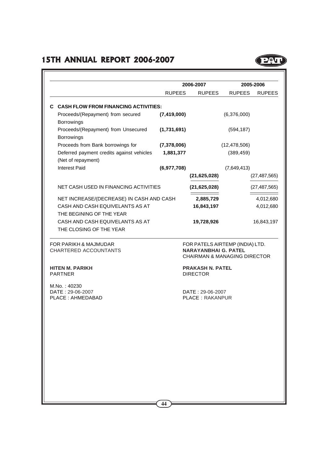### **15TH ANNUAL REPORT 2006-2007**

|                                                      |                                                                 |               | 2006-2007                                                                                                 |                | 2005-2006      |
|------------------------------------------------------|-----------------------------------------------------------------|---------------|-----------------------------------------------------------------------------------------------------------|----------------|----------------|
|                                                      |                                                                 | <b>RUPEES</b> | <b>RUPEES</b>                                                                                             | <b>RUPEES</b>  | <b>RUPEES</b>  |
|                                                      | C CASH FLOW FROM FINANCING ACTIVITIES:                          |               |                                                                                                           |                |                |
|                                                      | Proceeds/(Repayment) from secured<br>Borrowings                 | (7, 419, 000) |                                                                                                           | (6,376,000)    |                |
|                                                      | Proceeds/(Repayment) from Unsecured<br>Borrowings               | (1,731,691)   |                                                                                                           | (594, 187)     |                |
|                                                      | Proceeds from Bank borrowings for                               | (7,378,006)   |                                                                                                           | (12, 478, 506) |                |
|                                                      | Deferred payment credits against vehicles<br>(Net of repayment) | 1,881,377     |                                                                                                           | (389, 459)     |                |
|                                                      | Interest Paid                                                   | (6,977,708)   |                                                                                                           | (7,649,413)    |                |
|                                                      |                                                                 |               | (21, 625, 028)                                                                                            |                | (27, 487, 565) |
|                                                      | NET CASH USED IN FINANCING ACTIVITIES                           |               | (21, 625, 028)                                                                                            |                | (27, 487, 565) |
|                                                      | NET INCREASE/(DECREASE) IN CASH AND CASH                        |               | 2,885,729                                                                                                 |                | 4,012,680      |
|                                                      | CASH AND CASH EQUIVELANTS AS AT<br>THE BEGINING OF THE YEAR     |               | 16,843,197                                                                                                |                | 4,012,680      |
|                                                      | CASH AND CASH EQUIVELANTS AS AT<br>THE CLOSING OF THE YEAR      |               | 19,728,926                                                                                                |                | 16,843,197     |
|                                                      | <b>FOR PARIKH &amp; MAJMUDAR</b><br>CHARTERED ACCOUNTANTS       |               | FOR PATELS AIRTEMP (INDIA) LTD.<br><b>NARAYANBHAI G. PATEL</b><br><b>CHAIRMAN &amp; MANAGING DIRECTOR</b> |                |                |
|                                                      | <b>HITEN M. PARIKH</b><br><b>PARTNER</b>                        |               | <b>PRAKASH N. PATEL</b><br><b>DIRECTOR</b>                                                                |                |                |
| M.No.: 40230<br>DATE: 29-06-2007<br>PLACE: AHMEDABAD |                                                                 |               | DATE: 29-06-2007<br><b>PLACE: RAKANPUR</b>                                                                |                |                |

PU

**44**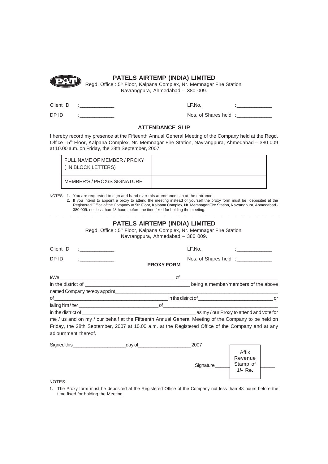

### **PATELS AIRTEMP (INDIA) LIMITED**

Regd. Office : 5<sup>th</sup> Floor, Kalpana Complex, Nr. Memnagar Fire Station, Navrangpura, Ahmedabad – 380 009.

Client ID

 $LF$ .No.

DP ID

Nos. of Shares held :\_\_\_\_\_\_\_

#### **ATTENDANCE SLIP**

I hereby record my presence at the Fifteenth Annual General Meeting of the Company held at the Regd. Office : 5<sup>th</sup> Floor, Kalpana Complex, Nr. Memnagar Fire Station, Navrangpura, Ahmedabad – 380 009 at 10.00 a.m. on Friday, the 28th September, 2007.

| l FULL NAME OF MEMBER / PROXY<br>(IN BLOCK LETTERS) |  |
|-----------------------------------------------------|--|
| MEMBER'S / PROXrS SIGNATURE                         |  |

NOTES: 1. You are requested to sign and hand over this attendance slip at the entrance.

2. If you intend to appoint a proxy to attend the meeting instead of yourself the proxy form must be deposited at the Registered Office of the Company at 5th Floor, Kalpana Complex, Nr. Memnagar Fire Station, Navrangpura, Ahmedabad - 380 009. not less than 48 hours before the time fixed for holding the meeting.

| <b>PATELS AIRTEMP (INDIA) LIMITED</b><br>Regd. Office: 5 <sup>th</sup> Floor, Kalpana Complex, Nr. Memnagar Fire Station,<br>Navrangpura, Ahmedabad - 380 009. |                                                                                                     |                      |                                                |  |
|----------------------------------------------------------------------------------------------------------------------------------------------------------------|-----------------------------------------------------------------------------------------------------|----------------------|------------------------------------------------|--|
| Client ID                                                                                                                                                      | $\mathcal{L} = \{ \mathcal{L} \}$                                                                   | LF.No.               | $\mathbf{r}$ and $\mathbf{r}$ and $\mathbf{r}$ |  |
| DP ID                                                                                                                                                          | <b>PROXY FORM</b>                                                                                   | Nos. of Shares held: |                                                |  |
|                                                                                                                                                                |                                                                                                     |                      |                                                |  |
|                                                                                                                                                                |                                                                                                     |                      |                                                |  |
|                                                                                                                                                                |                                                                                                     |                      |                                                |  |
|                                                                                                                                                                |                                                                                                     |                      |                                                |  |
|                                                                                                                                                                |                                                                                                     |                      |                                                |  |
|                                                                                                                                                                |                                                                                                     |                      |                                                |  |
|                                                                                                                                                                | me / us and on my / our behalf at the Fifteenth Annual General Meeting of the Company to be held on |                      |                                                |  |
| adjournment thereof.                                                                                                                                           | Friday, the 28th September, 2007 at 10.00 a.m. at the Registered Office of the Company and at any   |                      |                                                |  |
|                                                                                                                                                                |                                                                                                     | 2007                 |                                                |  |
|                                                                                                                                                                |                                                                                                     | Signature_           | Affix<br>Revenue<br>Stamp of<br>1/- Re.        |  |

NOTES:

1. The Proxy form must be deposited at the Registered Office of the Company not less than 48 hours before the time fixed for holding the Meeting.